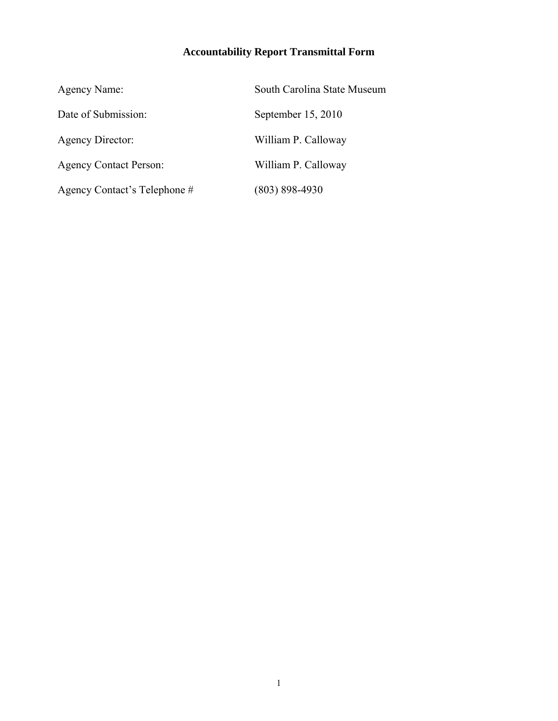# **Accountability Report Transmittal Form**

| Agency Name:                  | South Carolina State Museum |
|-------------------------------|-----------------------------|
| Date of Submission:           | September $15, 2010$        |
| Agency Director:              | William P. Calloway         |
| <b>Agency Contact Person:</b> | William P. Calloway         |
| Agency Contact's Telephone #  | $(803) 898 - 4930$          |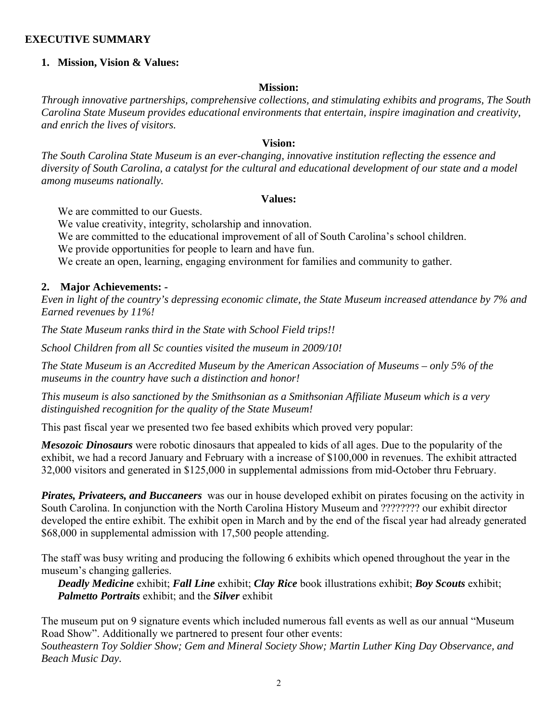#### **EXECUTIVE SUMMARY**

#### **1. Mission, Vision & Values:**

#### **Mission:**

*Through innovative partnerships, comprehensive collections, and stimulating exhibits and programs, The South Carolina State Museum provides educational environments that entertain, inspire imagination and creativity, and enrich the lives of visitors.* 

#### **Vision:**

*The South Carolina State Museum is an ever-changing, innovative institution reflecting the essence and diversity of South Carolina, a catalyst for the cultural and educational development of our state and a model among museums nationally.* 

#### **Values:**

We are committed to our Guests.

We value creativity, integrity, scholarship and innovation.

We are committed to the educational improvement of all of South Carolina's school children.

We provide opportunities for people to learn and have fun.

We create an open, learning, engaging environment for families and community to gather.

#### **2. Major Achievements: -**

*Even in light of the country's depressing economic climate, the State Museum increased attendance by 7% and Earned revenues by 11%!* 

*The State Museum ranks third in the State with School Field trips!!* 

*School Children from all Sc counties visited the museum in 2009/10!* 

*The State Museum is an Accredited Museum by the American Association of Museums – only 5% of the museums in the country have such a distinction and honor!* 

*This museum is also sanctioned by the Smithsonian as a Smithsonian Affiliate Museum which is a very distinguished recognition for the quality of the State Museum!*

This past fiscal year we presented two fee based exhibits which proved very popular:

*Mesozoic Dinosaurs* were robotic dinosaurs that appealed to kids of all ages. Due to the popularity of the exhibit, we had a record January and February with a increase of \$100,000 in revenues. The exhibit attracted 32,000 visitors and generated in \$125,000 in supplemental admissions from mid-October thru February.

*Pirates, Privateers, and Buccaneers* was our in house developed exhibit on pirates focusing on the activity in South Carolina. In conjunction with the North Carolina History Museum and ???????? our exhibit director developed the entire exhibit. The exhibit open in March and by the end of the fiscal year had already generated \$68,000 in supplemental admission with 17,500 people attending.

The staff was busy writing and producing the following 6 exhibits which opened throughout the year in the museum's changing galleries.

*Deadly Medicine* exhibit; *Fall Line* exhibit; *Clay Rice* book illustrations exhibit; *Boy Scouts* exhibit; *Palmetto Portraits* exhibit; and the *Silver* exhibit

The museum put on 9 signature events which included numerous fall events as well as our annual "Museum Road Show". Additionally we partnered to present four other events:

*Southeastern Toy Soldier Show; Gem and Mineral Society Show; Martin Luther King Day Observance, and Beach Music Day.*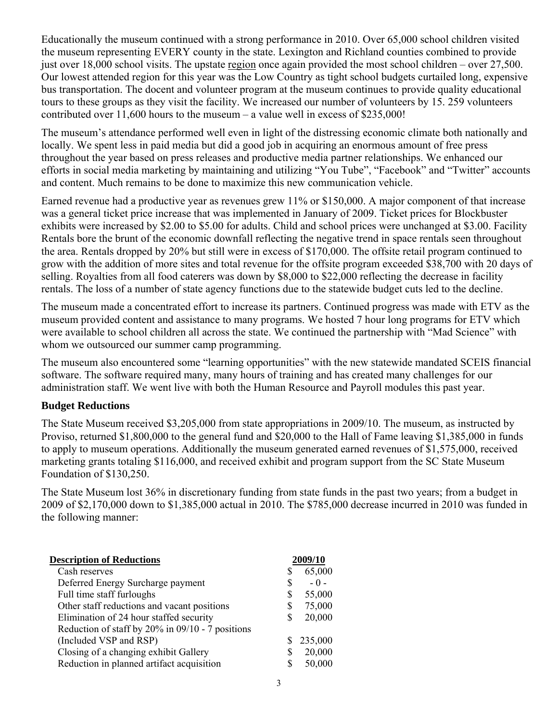Educationally the museum continued with a strong performance in 2010. Over 65,000 school children visited the museum representing EVERY county in the state. Lexington and Richland counties combined to provide just over 18,000 school visits. The upstate region once again provided the most school children – over 27,500. Our lowest attended region for this year was the Low Country as tight school budgets curtailed long, expensive bus transportation. The docent and volunteer program at the museum continues to provide quality educational tours to these groups as they visit the facility. We increased our number of volunteers by 15. 259 volunteers contributed over 11,600 hours to the museum – a value well in excess of \$235,000!

The museum's attendance performed well even in light of the distressing economic climate both nationally and locally. We spent less in paid media but did a good job in acquiring an enormous amount of free press throughout the year based on press releases and productive media partner relationships. We enhanced our efforts in social media marketing by maintaining and utilizing "You Tube", "Facebook" and "Twitter" accounts and content. Much remains to be done to maximize this new communication vehicle.

Earned revenue had a productive year as revenues grew 11% or \$150,000. A major component of that increase was a general ticket price increase that was implemented in January of 2009. Ticket prices for Blockbuster exhibits were increased by \$2.00 to \$5.00 for adults. Child and school prices were unchanged at \$3.00. Facility Rentals bore the brunt of the economic downfall reflecting the negative trend in space rentals seen throughout the area. Rentals dropped by 20% but still were in excess of \$170,000. The offsite retail program continued to grow with the addition of more sites and total revenue for the offsite program exceeded \$38,700 with 20 days of selling. Royalties from all food caterers was down by \$8,000 to \$22,000 reflecting the decrease in facility rentals. The loss of a number of state agency functions due to the statewide budget cuts led to the decline.

The museum made a concentrated effort to increase its partners. Continued progress was made with ETV as the museum provided content and assistance to many programs. We hosted 7 hour long programs for ETV which were available to school children all across the state. We continued the partnership with "Mad Science" with whom we outsourced our summer camp programming.

The museum also encountered some "learning opportunities" with the new statewide mandated SCEIS financial software. The software required many, many hours of training and has created many challenges for our administration staff. We went live with both the Human Resource and Payroll modules this past year.

#### **Budget Reductions**

The State Museum received \$3,205,000 from state appropriations in 2009/10. The museum, as instructed by Proviso, returned \$1,800,000 to the general fund and \$20,000 to the Hall of Fame leaving \$1,385,000 in funds to apply to museum operations. Additionally the museum generated earned revenues of \$1,575,000, received marketing grants totaling \$116,000, and received exhibit and program support from the SC State Museum Foundation of \$130,250.

The State Museum lost 36% in discretionary funding from state funds in the past two years; from a budget in 2009 of \$2,170,000 down to \$1,385,000 actual in 2010. The \$785,000 decrease incurred in 2010 was funded in the following manner:

| <b>Description of Reductions</b>                 |   | 2009/10 |
|--------------------------------------------------|---|---------|
| Cash reserves                                    | S | 65,000  |
| Deferred Energy Surcharge payment                |   | $-0-$   |
| Full time staff furloughs                        | S | 55,000  |
| Other staff reductions and vacant positions      | S | 75,000  |
| Elimination of 24 hour staffed security          | S | 20,000  |
| Reduction of staff by 20% in 09/10 - 7 positions |   |         |
| (Included VSP and RSP)                           |   | 235,000 |
| Closing of a changing exhibit Gallery            | S | 20,000  |
| Reduction in planned artifact acquisition        |   | 50,000  |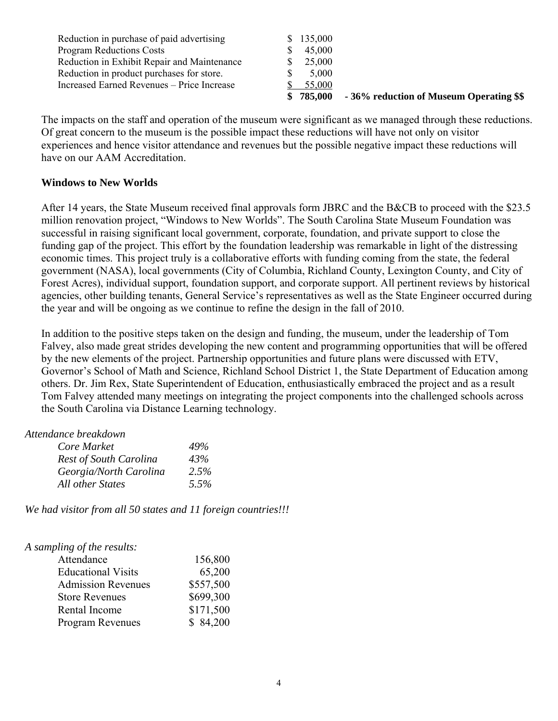| Reduction in purchase of paid advertising   | \$135,000 |                                         |
|---------------------------------------------|-----------|-----------------------------------------|
| <b>Program Reductions Costs</b>             | 45,000    |                                         |
| Reduction in Exhibit Repair and Maintenance | 25,000    |                                         |
| Reduction in product purchases for store.   | 5,000     |                                         |
| Increased Earned Revenues – Price Increase  | 55,000    |                                         |
|                                             | \$785,000 | -36% reduction of Museum Operating \$\$ |

The impacts on the staff and operation of the museum were significant as we managed through these reductions. Of great concern to the museum is the possible impact these reductions will have not only on visitor experiences and hence visitor attendance and revenues but the possible negative impact these reductions will have on our AAM Accreditation.

#### **Windows to New Worlds**

After 14 years, the State Museum received final approvals form JBRC and the B&CB to proceed with the \$23.5 million renovation project, "Windows to New Worlds". The South Carolina State Museum Foundation was successful in raising significant local government, corporate, foundation, and private support to close the funding gap of the project. This effort by the foundation leadership was remarkable in light of the distressing economic times. This project truly is a collaborative efforts with funding coming from the state, the federal government (NASA), local governments (City of Columbia, Richland County, Lexington County, and City of Forest Acres), individual support, foundation support, and corporate support. All pertinent reviews by historical agencies, other building tenants, General Service's representatives as well as the State Engineer occurred during the year and will be ongoing as we continue to refine the design in the fall of 2010.

In addition to the positive steps taken on the design and funding, the museum, under the leadership of Tom Falvey, also made great strides developing the new content and programming opportunities that will be offered by the new elements of the project. Partnership opportunities and future plans were discussed with ETV, Governor's School of Math and Science, Richland School District 1, the State Department of Education among others. Dr. Jim Rex, State Superintendent of Education, enthusiastically embraced the project and as a result Tom Falvey attended many meetings on integrating the project components into the challenged schools across the South Carolina via Distance Learning technology.

## *Attendance breakdown*

| Core Market                   | 49%  |
|-------------------------------|------|
| <b>Rest of South Carolina</b> | 43%  |
| Georgia/North Carolina        | 2.5% |
| All other States              | 5.5% |

*We had visitor from all 50 states and 11 foreign countries!!!* 

| 156,800   |
|-----------|
| 65,200    |
| \$557,500 |
| \$699,300 |
| \$171,500 |
| \$84,200  |
|           |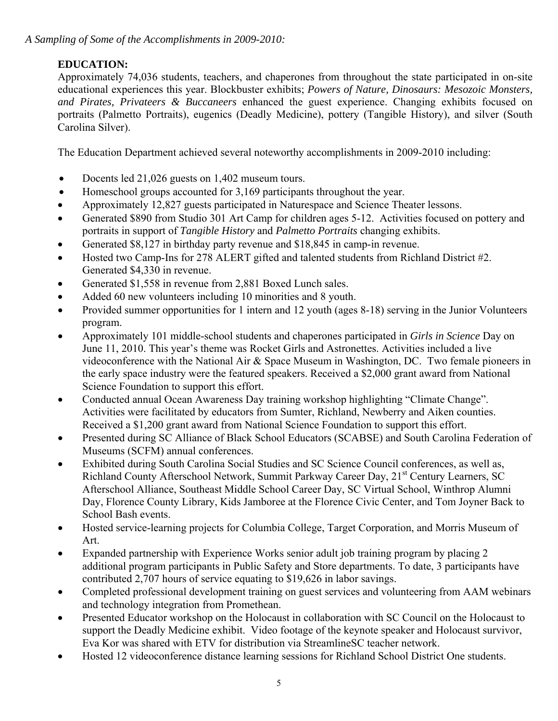# **EDUCATION:**

Approximately 74,036 students, teachers, and chaperones from throughout the state participated in on-site educational experiences this year. Blockbuster exhibits; *Powers of Nature, Dinosaurs: Mesozoic Monsters, and Pirates, Privateers & Buccaneers* enhanced the guest experience. Changing exhibits focused on portraits (Palmetto Portraits), eugenics (Deadly Medicine), pottery (Tangible History), and silver (South Carolina Silver).

The Education Department achieved several noteworthy accomplishments in 2009-2010 including:

- Docents led 21,026 guests on 1,402 museum tours.
- Homeschool groups accounted for 3,169 participants throughout the year.
- Approximately 12,827 guests participated in Naturespace and Science Theater lessons.
- Generated \$890 from Studio 301 Art Camp for children ages 5-12. Activities focused on pottery and portraits in support of *Tangible History* and *Palmetto Portraits* changing exhibits.
- Generated \$8,127 in birthday party revenue and \$18,845 in camp-in revenue.
- Hosted two Camp-Ins for 278 ALERT gifted and talented students from Richland District #2. Generated \$4,330 in revenue.
- Generated \$1,558 in revenue from 2,881 Boxed Lunch sales.
- Added 60 new volunteers including 10 minorities and 8 youth.
- Provided summer opportunities for 1 intern and 12 youth (ages 8-18) serving in the Junior Volunteers program.
- Approximately 101 middle-school students and chaperones participated in *Girls in Science* Day on June 11, 2010. This year's theme was Rocket Girls and Astronettes. Activities included a live videoconference with the National Air & Space Museum in Washington, DC. Two female pioneers in the early space industry were the featured speakers. Received a \$2,000 grant award from National Science Foundation to support this effort.
- Conducted annual Ocean Awareness Day training workshop highlighting "Climate Change". Activities were facilitated by educators from Sumter, Richland, Newberry and Aiken counties. Received a \$1,200 grant award from National Science Foundation to support this effort.
- Presented during SC Alliance of Black School Educators (SCABSE) and South Carolina Federation of Museums (SCFM) annual conferences.
- Exhibited during South Carolina Social Studies and SC Science Council conferences, as well as, Richland County Afterschool Network, Summit Parkway Career Day, 21<sup>st</sup> Century Learners, SC Afterschool Alliance, Southeast Middle School Career Day, SC Virtual School, Winthrop Alumni Day, Florence County Library, Kids Jamboree at the Florence Civic Center, and Tom Joyner Back to School Bash events.
- Hosted service-learning projects for Columbia College, Target Corporation, and Morris Museum of Art.
- Expanded partnership with Experience Works senior adult job training program by placing 2 additional program participants in Public Safety and Store departments. To date, 3 participants have contributed 2,707 hours of service equating to \$19,626 in labor savings.
- Completed professional development training on guest services and volunteering from AAM webinars and technology integration from Promethean.
- Presented Educator workshop on the Holocaust in collaboration with SC Council on the Holocaust to support the Deadly Medicine exhibit. Video footage of the keynote speaker and Holocaust survivor, Eva Kor was shared with ETV for distribution via StreamlineSC teacher network.
- Hosted 12 videoconference distance learning sessions for Richland School District One students.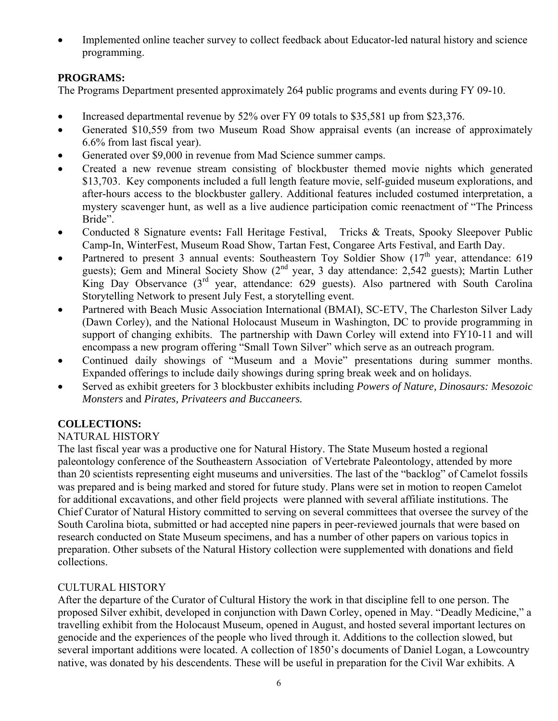• Implemented online teacher survey to collect feedback about Educator-led natural history and science programming.

# **PROGRAMS:**

The Programs Department presented approximately 264 public programs and events during FY 09-10.

- Increased departmental revenue by 52% over FY 09 totals to \$35,581 up from \$23,376.
- Generated \$10,559 from two Museum Road Show appraisal events (an increase of approximately 6.6% from last fiscal year).
- Generated over \$9,000 in revenue from Mad Science summer camps.
- Created a new revenue stream consisting of blockbuster themed movie nights which generated \$13,703. Key components included a full length feature movie, self-guided museum explorations, and after-hours access to the blockbuster gallery. Additional features included costumed interpretation, a mystery scavenger hunt, as well as a live audience participation comic reenactment of "The Princess Bride".
- Conducted 8 Signature events**:** Fall Heritage Festival, Tricks & Treats, Spooky Sleepover Public Camp-In, WinterFest, Museum Road Show, Tartan Fest, Congaree Arts Festival, and Earth Day.
- Partnered to present 3 annual events: Southeastern Toy Soldier Show  $(17<sup>th</sup>$  year, attendance: 619 guests); Gem and Mineral Society Show  $(2<sup>nd</sup>$  year, 3 day attendance: 2,542 guests); Martin Luther King Day Observance (3<sup>rd</sup> year, attendance: 629 guests). Also partnered with South Carolina Storytelling Network to present July Fest, a storytelling event.
- Partnered with Beach Music Association International (BMAI), SC-ETV, The Charleston Silver Lady (Dawn Corley), and the National Holocaust Museum in Washington, DC to provide programming in support of changing exhibits. The partnership with Dawn Corley will extend into FY10-11 and will encompass a new program offering "Small Town Silver" which serve as an outreach program.
- Continued daily showings of "Museum and a Movie" presentations during summer months. Expanded offerings to include daily showings during spring break week and on holidays.
- Served as exhibit greeters for 3 blockbuster exhibits including *Powers of Nature, Dinosaurs: Mesozoic Monsters* and *Pirates, Privateers and Buccaneers.*

## **COLLECTIONS:**

## NATURAL HISTORY

The last fiscal year was a productive one for Natural History. The State Museum hosted a regional paleontology conference of the Southeastern Association of Vertebrate Paleontology, attended by more than 20 scientists representing eight museums and universities. The last of the "backlog" of Camelot fossils was prepared and is being marked and stored for future study. Plans were set in motion to reopen Camelot for additional excavations, and other field projects were planned with several affiliate institutions. The Chief Curator of Natural History committed to serving on several committees that oversee the survey of the South Carolina biota, submitted or had accepted nine papers in peer-reviewed journals that were based on research conducted on State Museum specimens, and has a number of other papers on various topics in preparation. Other subsets of the Natural History collection were supplemented with donations and field collections.

#### CULTURAL HISTORY

 After the departure of the Curator of Cultural History the work in that discipline fell to one person. The proposed Silver exhibit, developed in conjunction with Dawn Corley, opened in May. "Deadly Medicine," a travelling exhibit from the Holocaust Museum, opened in August, and hosted several important lectures on genocide and the experiences of the people who lived through it. Additions to the collection slowed, but several important additions were located. A collection of 1850's documents of Daniel Logan, a Lowcountry native, was donated by his descendents. These will be useful in preparation for the Civil War exhibits. A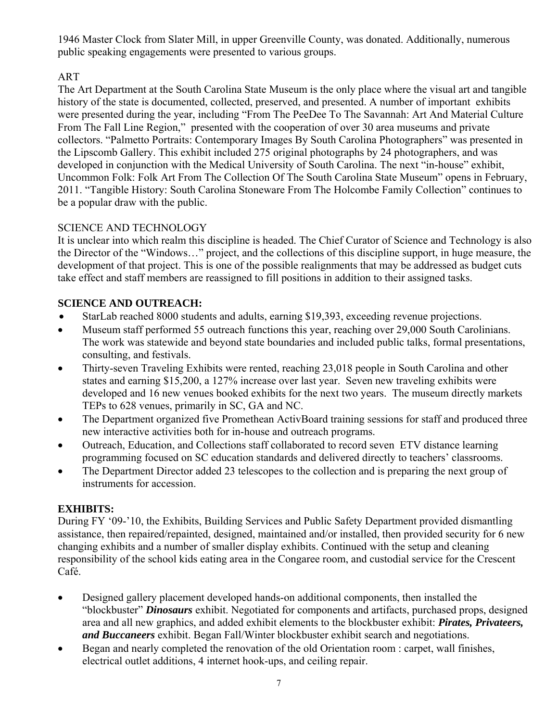1946 Master Clock from Slater Mill, in upper Greenville County, was donated. Additionally, numerous public speaking engagements were presented to various groups.

# ART

The Art Department at the South Carolina State Museum is the only place where the visual art and tangible history of the state is documented, collected, preserved, and presented. A number of important exhibits were presented during the year, including "From The PeeDee To The Savannah: Art And Material Culture From The Fall Line Region," presented with the cooperation of over 30 area museums and private collectors. "Palmetto Portraits: Contemporary Images By South Carolina Photographers" was presented in the Lipscomb Gallery. This exhibit included 275 original photographs by 24 photographers, and was developed in conjunction with the Medical University of South Carolina. The next "in-house" exhibit, Uncommon Folk: Folk Art From The Collection Of The South Carolina State Museum" opens in February, 2011. "Tangible History: South Carolina Stoneware From The Holcombe Family Collection" continues to be a popular draw with the public.

## SCIENCE AND TECHNOLOGY

It is unclear into which realm this discipline is headed. The Chief Curator of Science and Technology is also the Director of the "Windows…" project, and the collections of this discipline support, in huge measure, the development of that project. This is one of the possible realignments that may be addressed as budget cuts take effect and staff members are reassigned to fill positions in addition to their assigned tasks.

## **SCIENCE AND OUTREACH:**

- StarLab reached 8000 students and adults, earning \$19,393, exceeding revenue projections.
- Museum staff performed 55 outreach functions this year, reaching over 29,000 South Carolinians. The work was statewide and beyond state boundaries and included public talks, formal presentations, consulting, and festivals.
- Thirty-seven Traveling Exhibits were rented, reaching 23,018 people in South Carolina and other states and earning \$15,200, a 127% increase over last year. Seven new traveling exhibits were developed and 16 new venues booked exhibits for the next two years. The museum directly markets TEPs to 628 venues, primarily in SC, GA and NC.
- The Department organized five Promethean ActivBoard training sessions for staff and produced three new interactive activities both for in-house and outreach programs.
- Outreach, Education, and Collections staff collaborated to record seven ETV distance learning programming focused on SC education standards and delivered directly to teachers' classrooms.
- The Department Director added 23 telescopes to the collection and is preparing the next group of instruments for accession.

## **EXHIBITS:**

During FY '09-'10, the Exhibits, Building Services and Public Safety Department provided dismantling assistance, then repaired/repainted, designed, maintained and/or installed, then provided security for 6 new changing exhibits and a number of smaller display exhibits. Continued with the setup and cleaning responsibility of the school kids eating area in the Congaree room, and custodial service for the Crescent Café.

- Designed gallery placement developed hands-on additional components, then installed the "blockbuster" *Dinosaurs* exhibit. Negotiated for components and artifacts, purchased props, designed area and all new graphics, and added exhibit elements to the blockbuster exhibit: *Pirates, Privateers, and Buccaneers* exhibit. Began Fall/Winter blockbuster exhibit search and negotiations.
- Began and nearly completed the renovation of the old Orientation room : carpet, wall finishes, electrical outlet additions, 4 internet hook-ups, and ceiling repair.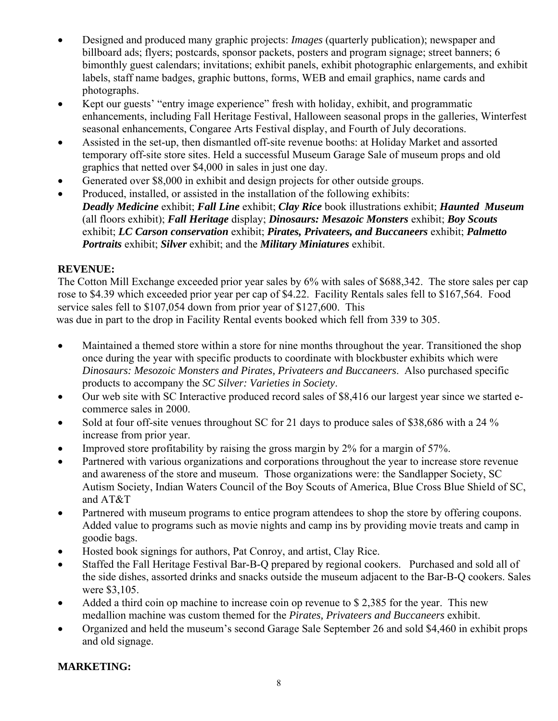- Designed and produced many graphic projects: *Images* (quarterly publication); newspaper and billboard ads; flyers; postcards, sponsor packets, posters and program signage; street banners; 6 bimonthly guest calendars; invitations; exhibit panels, exhibit photographic enlargements, and exhibit labels, staff name badges, graphic buttons, forms, WEB and email graphics, name cards and photographs.
- Kept our guests' "entry image experience" fresh with holiday, exhibit, and programmatic enhancements, including Fall Heritage Festival, Halloween seasonal props in the galleries, Winterfest seasonal enhancements, Congaree Arts Festival display, and Fourth of July decorations.
- Assisted in the set-up, then dismantled off-site revenue booths: at Holiday Market and assorted temporary off-site store sites. Held a successful Museum Garage Sale of museum props and old graphics that netted over \$4,000 in sales in just one day.
- Generated over \$8,000 in exhibit and design projects for other outside groups.
- Produced, installed, or assisted in the installation of the following exhibits:  *Deadly Medicine* exhibit; *Fall Line* exhibit; *Clay Rice* book illustrations exhibit; *Haunted Museum* (all floors exhibit); *Fall Heritage* display; *Dinosaurs: Mesazoic Monsters* exhibit; *Boy Scouts*  exhibit; *LC Carson conservation* exhibit; *Pirates, Privateers, and Buccaneers* exhibit; *Palmetto Portraits* exhibit; *Silver* exhibit; and the *Military Miniatures* exhibit.

## **REVENUE:**

The Cotton Mill Exchange exceeded prior year sales by 6% with sales of \$688,342. The store sales per cap rose to \$4.39 which exceeded prior year per cap of \$4.22. Facility Rentals sales fell to \$167,564. Food service sales fell to \$107,054 down from prior year of \$127,600. This was due in part to the drop in Facility Rental events booked which fell from 339 to 305.

- Maintained a themed store within a store for nine months throughout the year. Transitioned the shop once during the year with specific products to coordinate with blockbuster exhibits which were *Dinosaurs: Mesozoic Monsters and Pirates, Privateers and Buccaneers*. Also purchased specific products to accompany the *SC Silver: Varieties in Society*.
- Our web site with SC Interactive produced record sales of \$8,416 our largest year since we started ecommerce sales in 2000.
- Sold at four off-site venues throughout SC for 21 days to produce sales of \$38,686 with a 24 % increase from prior year.
- Improved store profitability by raising the gross margin by 2% for a margin of 57%.
- Partnered with various organizations and corporations throughout the year to increase store revenue and awareness of the store and museum. Those organizations were: the Sandlapper Society, SC Autism Society, Indian Waters Council of the Boy Scouts of America, Blue Cross Blue Shield of SC, and AT&T
- Partnered with museum programs to entice program attendees to shop the store by offering coupons. Added value to programs such as movie nights and camp ins by providing movie treats and camp in goodie bags.
- Hosted book signings for authors, Pat Conroy, and artist, Clay Rice.
- Staffed the Fall Heritage Festival Bar-B-Q prepared by regional cookers. Purchased and sold all of the side dishes, assorted drinks and snacks outside the museum adjacent to the Bar-B-Q cookers. Sales were \$3,105.
- Added a third coin op machine to increase coin op revenue to \$2,385 for the year. This new medallion machine was custom themed for the *Pirates, Privateers and Buccaneers* exhibit.
- Organized and held the museum's second Garage Sale September 26 and sold \$4,460 in exhibit props and old signage.

## **MARKETING:**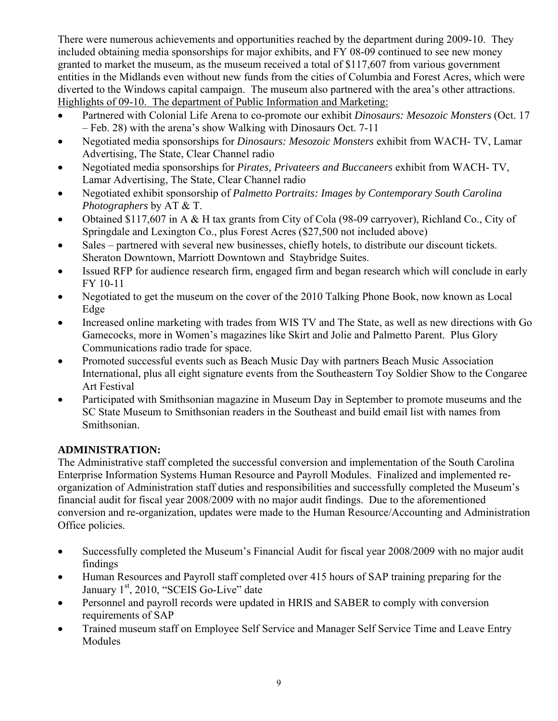There were numerous achievements and opportunities reached by the department during 2009-10. They included obtaining media sponsorships for major exhibits, and FY 08-09 continued to see new money granted to market the museum, as the museum received a total of \$117,607 from various government entities in the Midlands even without new funds from the cities of Columbia and Forest Acres, which were diverted to the Windows capital campaign. The museum also partnered with the area's other attractions. Highlights of 09-10. The department of Public Information and Marketing:

- Partnered with Colonial Life Arena to co-promote our exhibit *Dinosaurs: Mesozoic Monsters* (Oct. 17 – Feb. 28) with the arena's show Walking with Dinosaurs Oct. 7-11
- Negotiated media sponsorships for *Dinosaurs: Mesozoic Monsters* exhibit from WACH- TV, Lamar Advertising, The State, Clear Channel radio
- Negotiated media sponsorships for *Pirates, Privateers and Buccaneers* exhibit from WACH- TV, Lamar Advertising, The State, Clear Channel radio
- Negotiated exhibit sponsorship of *Palmetto Portraits: Images by Contemporary South Carolina Photographers* by AT & T.
- Obtained \$117,607 in A & H tax grants from City of Cola (98-09 carryover), Richland Co., City of Springdale and Lexington Co., plus Forest Acres (\$27,500 not included above)
- Sales partnered with several new businesses, chiefly hotels, to distribute our discount tickets. Sheraton Downtown, Marriott Downtown and Staybridge Suites.
- Issued RFP for audience research firm, engaged firm and began research which will conclude in early FY 10-11
- Negotiated to get the museum on the cover of the 2010 Talking Phone Book, now known as Local Edge
- Increased online marketing with trades from WIS TV and The State, as well as new directions with Go Gamecocks, more in Women's magazines like Skirt and Jolie and Palmetto Parent. Plus Glory Communications radio trade for space.
- Promoted successful events such as Beach Music Day with partners Beach Music Association International, plus all eight signature events from the Southeastern Toy Soldier Show to the Congaree Art Festival
- Participated with Smithsonian magazine in Museum Day in September to promote museums and the SC State Museum to Smithsonian readers in the Southeast and build email list with names from Smithsonian.

## **ADMINISTRATION:**

The Administrative staff completed the successful conversion and implementation of the South Carolina Enterprise Information Systems Human Resource and Payroll Modules. Finalized and implemented reorganization of Administration staff duties and responsibilities and successfully completed the Museum's financial audit for fiscal year 2008/2009 with no major audit findings. Due to the aforementioned conversion and re-organization, updates were made to the Human Resource/Accounting and Administration Office policies.

- Successfully completed the Museum's Financial Audit for fiscal year 2008/2009 with no major audit findings
- Human Resources and Payroll staff completed over 415 hours of SAP training preparing for the January 1<sup>st</sup>, 2010, "SCEIS Go-Live" date
- Personnel and payroll records were updated in HRIS and SABER to comply with conversion requirements of SAP
- Trained museum staff on Employee Self Service and Manager Self Service Time and Leave Entry Modules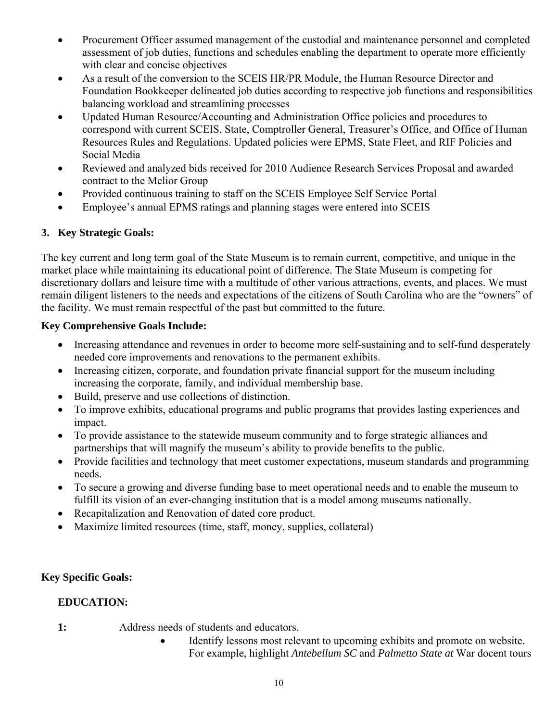- Procurement Officer assumed management of the custodial and maintenance personnel and completed assessment of job duties, functions and schedules enabling the department to operate more efficiently with clear and concise objectives
- As a result of the conversion to the SCEIS HR/PR Module, the Human Resource Director and Foundation Bookkeeper delineated job duties according to respective job functions and responsibilities balancing workload and streamlining processes
- Updated Human Resource/Accounting and Administration Office policies and procedures to correspond with current SCEIS, State, Comptroller General, Treasurer's Office, and Office of Human Resources Rules and Regulations. Updated policies were EPMS, State Fleet, and RIF Policies and Social Media
- Reviewed and analyzed bids received for 2010 Audience Research Services Proposal and awarded contract to the Melior Group
- Provided continuous training to staff on the SCEIS Employee Self Service Portal
- Employee's annual EPMS ratings and planning stages were entered into SCEIS

# **3. Key Strategic Goals:**

The key current and long term goal of the State Museum is to remain current, competitive, and unique in the market place while maintaining its educational point of difference. The State Museum is competing for discretionary dollars and leisure time with a multitude of other various attractions, events, and places. We must remain diligent listeners to the needs and expectations of the citizens of South Carolina who are the "owners" of the facility. We must remain respectful of the past but committed to the future.

## **Key Comprehensive Goals Include:**

- Increasing attendance and revenues in order to become more self-sustaining and to self-fund desperately needed core improvements and renovations to the permanent exhibits.
- Increasing citizen, corporate, and foundation private financial support for the museum including increasing the corporate, family, and individual membership base.
- Build, preserve and use collections of distinction.
- To improve exhibits, educational programs and public programs that provides lasting experiences and impact.
- To provide assistance to the statewide museum community and to forge strategic alliances and partnerships that will magnify the museum's ability to provide benefits to the public.
- Provide facilities and technology that meet customer expectations, museum standards and programming needs.
- To secure a growing and diverse funding base to meet operational needs and to enable the museum to fulfill its vision of an ever-changing institution that is a model among museums nationally.
- Recapitalization and Renovation of dated core product.
- Maximize limited resources (time, staff, money, supplies, collateral)

## **Key Specific Goals:**

## **EDUCATION:**

- **1:** Address needs of students and educators.
	- Identify lessons most relevant to upcoming exhibits and promote on website. For example, highlight *Antebellum SC* and *Palmetto State at* War docent tours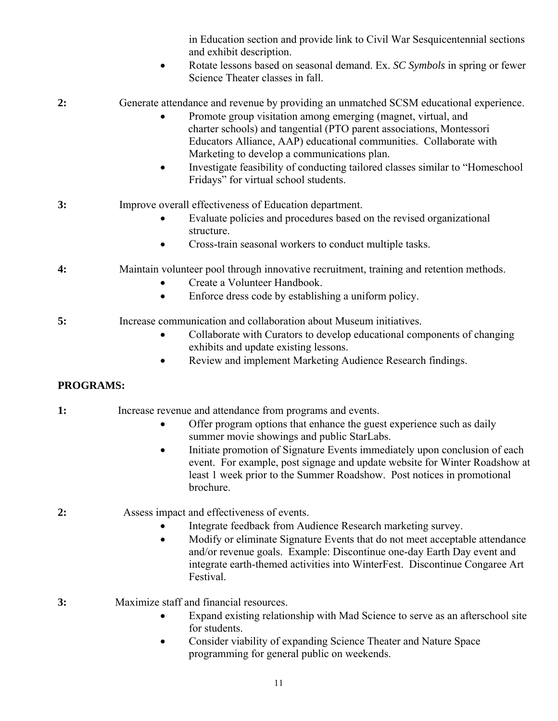in Education section and provide link to Civil War Sesquicentennial sections and exhibit description.

• Rotate lessons based on seasonal demand. Ex. *SC Symbols* in spring or fewer Science Theater classes in fall.

**2:** Generate attendance and revenue by providing an unmatched SCSM educational experience.

- Promote group visitation among emerging (magnet, virtual, and charter schools) and tangential (PTO parent associations, Montessori Educators Alliance, AAP) educational communities. Collaborate with Marketing to develop a communications plan.
- Investigate feasibility of conducting tailored classes similar to "Homeschool Fridays" for virtual school students.
- **3:** Improve overall effectiveness of Education department.
	- Evaluate policies and procedures based on the revised organizational structure.
	- Cross-train seasonal workers to conduct multiple tasks.
- **4:** Maintain volunteer pool through innovative recruitment, training and retention methods.
	- Create a Volunteer Handbook.
	- Enforce dress code by establishing a uniform policy.
- **5:** Increase communication and collaboration about Museum initiatives.
	- Collaborate with Curators to develop educational components of changing exhibits and update existing lessons.
	- Review and implement Marketing Audience Research findings.

# **PROGRAMS:**

- **1:** Increase revenue and attendance from programs and events.
	- Offer program options that enhance the guest experience such as daily summer movie showings and public StarLabs.
	- Initiate promotion of Signature Events immediately upon conclusion of each event. For example, post signage and update website for Winter Roadshow at least 1 week prior to the Summer Roadshow. Post notices in promotional brochure.
- **2:** Assess impact and effectiveness of events.
	- Integrate feedback from Audience Research marketing survey.
	- Modify or eliminate Signature Events that do not meet acceptable attendance and/or revenue goals. Example: Discontinue one-day Earth Day event and integrate earth-themed activities into WinterFest. Discontinue Congaree Art Festival.

**3:** Maximize staff and financial resources.

- Expand existing relationship with Mad Science to serve as an afterschool site for students.
- Consider viability of expanding Science Theater and Nature Space programming for general public on weekends.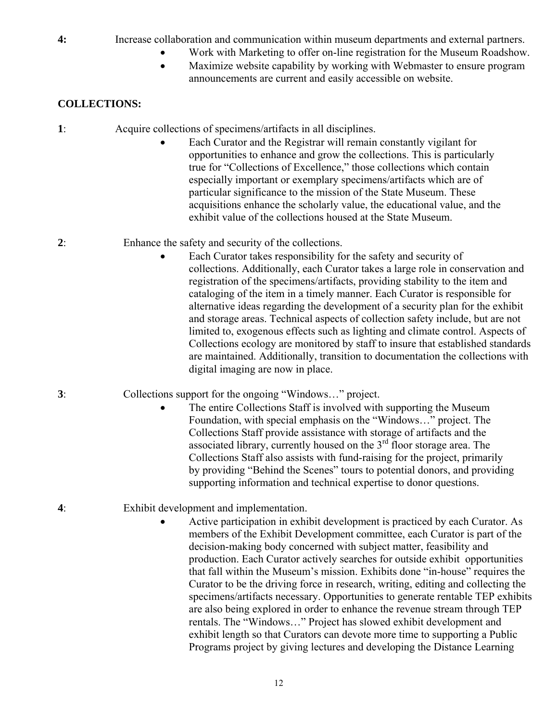# **4:** Increase collaboration and communication within museum departments and external partners.

- Work with Marketing to offer on-line registration for the Museum Roadshow.
- Maximize website capability by working with Webmaster to ensure program announcements are current and easily accessible on website.

# **COLLECTIONS:**

- **1**: Acquire collections of specimens/artifacts in all disciplines.
	- Each Curator and the Registrar will remain constantly vigilant for opportunities to enhance and grow the collections. This is particularly true for "Collections of Excellence," those collections which contain especially important or exemplary specimens/artifacts which are of particular significance to the mission of the State Museum. These acquisitions enhance the scholarly value, the educational value, and the exhibit value of the collections housed at the State Museum.
- **2**: Enhance the safety and security of the collections.
	- Each Curator takes responsibility for the safety and security of collections. Additionally, each Curator takes a large role in conservation and registration of the specimens/artifacts, providing stability to the item and cataloging of the item in a timely manner. Each Curator is responsible for alternative ideas regarding the development of a security plan for the exhibit and storage areas. Technical aspects of collection safety include, but are not limited to, exogenous effects such as lighting and climate control. Aspects of Collections ecology are monitored by staff to insure that established standards are maintained. Additionally, transition to documentation the collections with digital imaging are now in place.
- **3**: Collections support for the ongoing "Windows…" project.
	- The entire Collections Staff is involved with supporting the Museum Foundation, with special emphasis on the "Windows…" project. The Collections Staff provide assistance with storage of artifacts and the associated library, currently housed on the  $3<sup>rd</sup>$  floor storage area. The Collections Staff also assists with fund-raising for the project, primarily by providing "Behind the Scenes" tours to potential donors, and providing supporting information and technical expertise to donor questions.
- **4**: Exhibit development and implementation.
	- Active participation in exhibit development is practiced by each Curator. As members of the Exhibit Development committee, each Curator is part of the decision-making body concerned with subject matter, feasibility and production. Each Curator actively searches for outside exhibit opportunities that fall within the Museum's mission. Exhibits done "in-house" requires the Curator to be the driving force in research, writing, editing and collecting the specimens/artifacts necessary. Opportunities to generate rentable TEP exhibits are also being explored in order to enhance the revenue stream through TEP rentals. The "Windows…" Project has slowed exhibit development and exhibit length so that Curators can devote more time to supporting a Public Programs project by giving lectures and developing the Distance Learning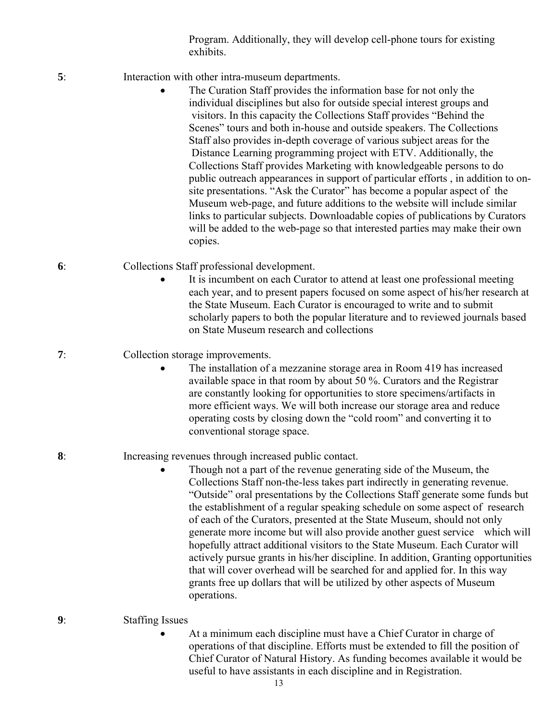Program. Additionally, they will develop cell-phone tours for existing exhibits.

- **5**: Interaction with other intra-museum departments.
	- The Curation Staff provides the information base for not only the individual disciplines but also for outside special interest groups and visitors. In this capacity the Collections Staff provides "Behind the Scenes" tours and both in-house and outside speakers. The Collections Staff also provides in-depth coverage of various subject areas for the Distance Learning programming project with ETV. Additionally, the Collections Staff provides Marketing with knowledgeable persons to do public outreach appearances in support of particular efforts , in addition to onsite presentations. "Ask the Curator" has become a popular aspect of the Museum web-page, and future additions to the website will include similar links to particular subjects. Downloadable copies of publications by Curators will be added to the web-page so that interested parties may make their own copies.
- **6**: Collections Staff professional development.
	- It is incumbent on each Curator to attend at least one professional meeting each year, and to present papers focused on some aspect of his/her research at the State Museum. Each Curator is encouraged to write and to submit scholarly papers to both the popular literature and to reviewed journals based on State Museum research and collections

#### **7**: Collection storage improvements.

The installation of a mezzanine storage area in Room 419 has increased available space in that room by about 50 %. Curators and the Registrar are constantly looking for opportunities to store specimens/artifacts in more efficient ways. We will both increase our storage area and reduce operating costs by closing down the "cold room" and converting it to conventional storage space.

#### **8**: Increasing revenues through increased public contact.

• Though not a part of the revenue generating side of the Museum, the Collections Staff non-the-less takes part indirectly in generating revenue. "Outside" oral presentations by the Collections Staff generate some funds but the establishment of a regular speaking schedule on some aspect of research of each of the Curators, presented at the State Museum, should not only generate more income but will also provide another guest service which will hopefully attract additional visitors to the State Museum. Each Curator will actively pursue grants in his/her discipline. In addition, Granting opportunities that will cover overhead will be searched for and applied for. In this way grants free up dollars that will be utilized by other aspects of Museum operations.

#### **9**: Staffing Issues

• At a minimum each discipline must have a Chief Curator in charge of operations of that discipline. Efforts must be extended to fill the position of Chief Curator of Natural History. As funding becomes available it would be useful to have assistants in each discipline and in Registration.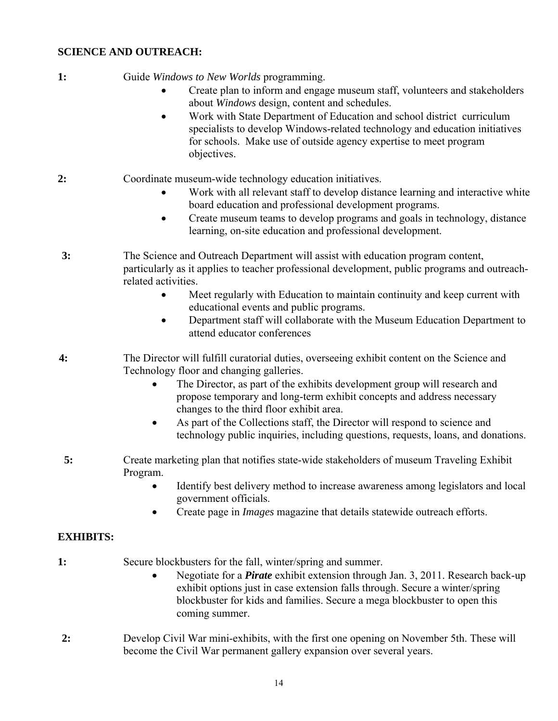#### **SCIENCE AND OUTREACH:**

- **1:** Guide *Windows to New Worlds* programming.
	- Create plan to inform and engage museum staff, volunteers and stakeholders about *Windows* design, content and schedules.
	- Work with State Department of Education and school district curriculum specialists to develop Windows-related technology and education initiatives for schools. Make use of outside agency expertise to meet program objectives.
- **2:** Coordinate museum-wide technology education initiatives.
	- Work with all relevant staff to develop distance learning and interactive white board education and professional development programs.
	- Create museum teams to develop programs and goals in technology, distance learning, on-site education and professional development.
- **3:** The Science and Outreach Department will assist with education program content, particularly as it applies to teacher professional development, public programs and outreachrelated activities.
	- Meet regularly with Education to maintain continuity and keep current with educational events and public programs.
	- Department staff will collaborate with the Museum Education Department to attend educator conferences
- **4:** The Director will fulfill curatorial duties, overseeing exhibit content on the Science and Technology floor and changing galleries.
	- The Director, as part of the exhibits development group will research and propose temporary and long-term exhibit concepts and address necessary changes to the third floor exhibit area.
	- As part of the Collections staff, the Director will respond to science and technology public inquiries, including questions, requests, loans, and donations.
- **5:** Create marketing plan that notifies state-wide stakeholders of museum Traveling Exhibit Program.
	- Identify best delivery method to increase awareness among legislators and local government officials.
	- Create page in *Images* magazine that details statewide outreach efforts.

#### **EXHIBITS:**

- **1:** Secure blockbusters for the fall, winter/spring and summer.
	- Negotiate for a *Pirate* exhibit extension through Jan. 3, 2011. Research back-up exhibit options just in case extension falls through. Secure a winter/spring blockbuster for kids and families. Secure a mega blockbuster to open this coming summer.
- **2:** Develop Civil War mini-exhibits, with the first one opening on November 5th. These will become the Civil War permanent gallery expansion over several years.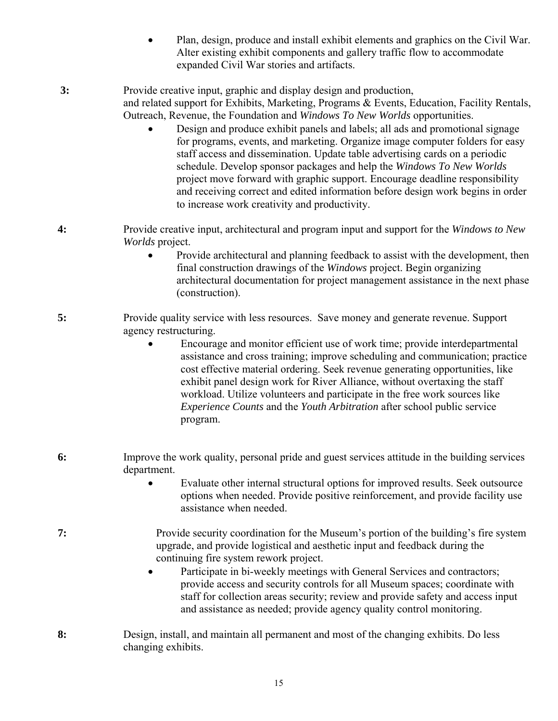• Plan, design, produce and install exhibit elements and graphics on the Civil War. Alter existing exhibit components and gallery traffic flow to accommodate expanded Civil War stories and artifacts.

 **3:** Provide creative input, graphic and display design and production, and related support for Exhibits, Marketing, Programs & Events, Education, Facility Rentals, Outreach, Revenue, the Foundation and *Windows To New Worlds* opportunities.

- Design and produce exhibit panels and labels; all ads and promotional signage for programs, events, and marketing. Organize image computer folders for easy staff access and dissemination. Update table advertising cards on a periodic schedule. Develop sponsor packages and help the *Windows To New Worlds* project move forward with graphic support. Encourage deadline responsibility and receiving correct and edited information before design work begins in order to increase work creativity and productivity.
- **4:** Provide creative input, architectural and program input and support for the *Windows to New Worlds* project.
	- Provide architectural and planning feedback to assist with the development, then final construction drawings of the *Windows* project. Begin organizing architectural documentation for project management assistance in the next phase (construction).
- **5:** Provide quality service with less resources. Save money and generate revenue. Support agency restructuring.
	- Encourage and monitor efficient use of work time; provide interdepartmental assistance and cross training; improve scheduling and communication; practice cost effective material ordering. Seek revenue generating opportunities, like exhibit panel design work for River Alliance, without overtaxing the staff workload. Utilize volunteers and participate in the free work sources like *Experience Counts* and the *Youth Arbitration* after school public service program.
- **6:** Improve the work quality, personal pride and guest services attitude in the building services department.
	- Evaluate other internal structural options for improved results. Seek outsource options when needed. Provide positive reinforcement, and provide facility use assistance when needed.
- **7:** Provide security coordination for the Museum's portion of the building's fire system upgrade, and provide logistical and aesthetic input and feedback during the continuing fire system rework project.
	- Participate in bi-weekly meetings with General Services and contractors; provide access and security controls for all Museum spaces; coordinate with staff for collection areas security; review and provide safety and access input and assistance as needed; provide agency quality control monitoring.
- **8:** Design, install, and maintain all permanent and most of the changing exhibits. Do less changing exhibits.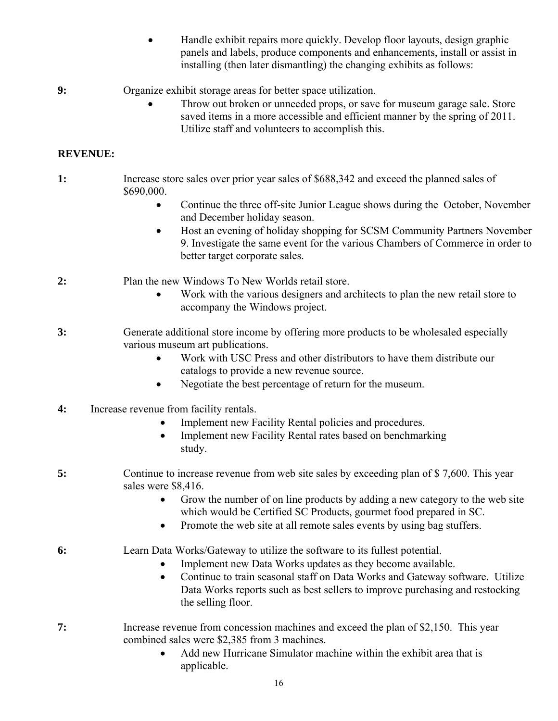- Handle exhibit repairs more quickly. Develop floor layouts, design graphic panels and labels, produce components and enhancements, install or assist in installing (then later dismantling) the changing exhibits as follows:
- **9:** Organize exhibit storage areas for better space utilization.
	- Throw out broken or unneeded props, or save for museum garage sale. Store saved items in a more accessible and efficient manner by the spring of 2011. Utilize staff and volunteers to accomplish this.

#### **REVENUE:**

- **1:** Increase store sales over prior year sales of \$688,342 and exceed the planned sales of \$690,000.
	- Continue the three off-site Junior League shows during the October, November and December holiday season.
	- Host an evening of holiday shopping for SCSM Community Partners November 9. Investigate the same event for the various Chambers of Commerce in order to better target corporate sales.
- **2:** Plan the new Windows To New Worlds retail store.
	- Work with the various designers and architects to plan the new retail store to accompany the Windows project.
- **3:** Generate additional store income by offering more products to be wholesaled especially various museum art publications.
	- Work with USC Press and other distributors to have them distribute our catalogs to provide a new revenue source.
	- Negotiate the best percentage of return for the museum.
- **4:** Increase revenue from facility rentals.
	- Implement new Facility Rental policies and procedures.
	- Implement new Facility Rental rates based on benchmarking study.
- **5:** Continue to increase revenue from web site sales by exceeding plan of \$ 7,600. This year sales were \$8,416.
	- Grow the number of on line products by adding a new category to the web site which would be Certified SC Products, gourmet food prepared in SC.
	- Promote the web site at all remote sales events by using bag stuffers.
- **6:** Learn Data Works/Gateway to utilize the software to its fullest potential.
	- Implement new Data Works updates as they become available.
	- Continue to train seasonal staff on Data Works and Gateway software. Utilize Data Works reports such as best sellers to improve purchasing and restocking the selling floor.
- **7:** Increase revenue from concession machines and exceed the plan of \$2,150. This year combined sales were \$2,385 from 3 machines.
	- Add new Hurricane Simulator machine within the exhibit area that is applicable.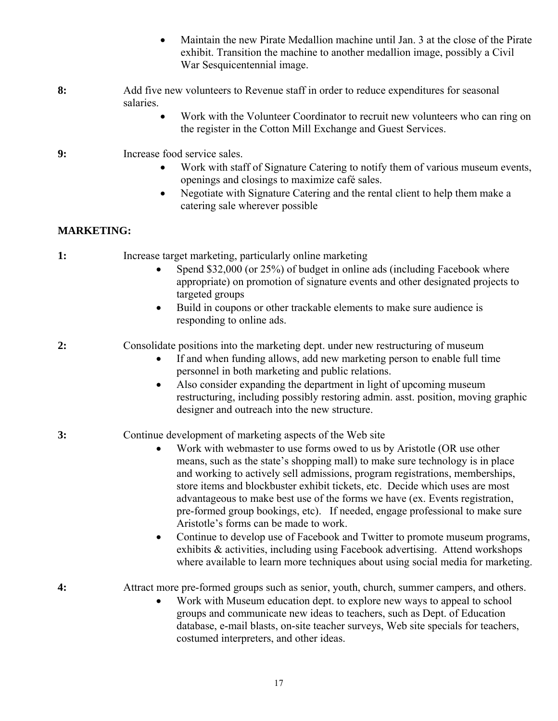- Maintain the new Pirate Medallion machine until Jan. 3 at the close of the Pirate exhibit. Transition the machine to another medallion image, possibly a Civil War Sesquicentennial image.
- **8:** Add five new volunteers to Revenue staff in order to reduce expenditures for seasonal salaries.
	- Work with the Volunteer Coordinator to recruit new volunteers who can ring on the register in the Cotton Mill Exchange and Guest Services.
- **9:** Increase food service sales.
	- Work with staff of Signature Catering to notify them of various museum events, openings and closings to maximize café sales.
	- Negotiate with Signature Catering and the rental client to help them make a catering sale wherever possible

## **MARKETING:**

- **1:** Increase target marketing, particularly online marketing
	- Spend \$32,000 (or 25%) of budget in online ads (including Facebook where appropriate) on promotion of signature events and other designated projects to targeted groups
	- Build in coupons or other trackable elements to make sure audience is responding to online ads.
- **2:** Consolidate positions into the marketing dept. under new restructuring of museum
	- If and when funding allows, add new marketing person to enable full time personnel in both marketing and public relations.
	- Also consider expanding the department in light of upcoming museum restructuring, including possibly restoring admin. asst. position, moving graphic designer and outreach into the new structure.

## **3:** Continue development of marketing aspects of the Web site

- Work with webmaster to use forms owed to us by Aristotle (OR use other means, such as the state's shopping mall) to make sure technology is in place and working to actively sell admissions, program registrations, memberships, store items and blockbuster exhibit tickets, etc. Decide which uses are most advantageous to make best use of the forms we have (ex. Events registration, pre-formed group bookings, etc). If needed, engage professional to make sure Aristotle's forms can be made to work.
- Continue to develop use of Facebook and Twitter to promote museum programs, exhibits & activities, including using Facebook advertising. Attend workshops where available to learn more techniques about using social media for marketing.

**4:** Attract more pre-formed groups such as senior, youth, church, summer campers, and others.

• Work with Museum education dept. to explore new ways to appeal to school groups and communicate new ideas to teachers, such as Dept. of Education database, e-mail blasts, on-site teacher surveys, Web site specials for teachers, costumed interpreters, and other ideas.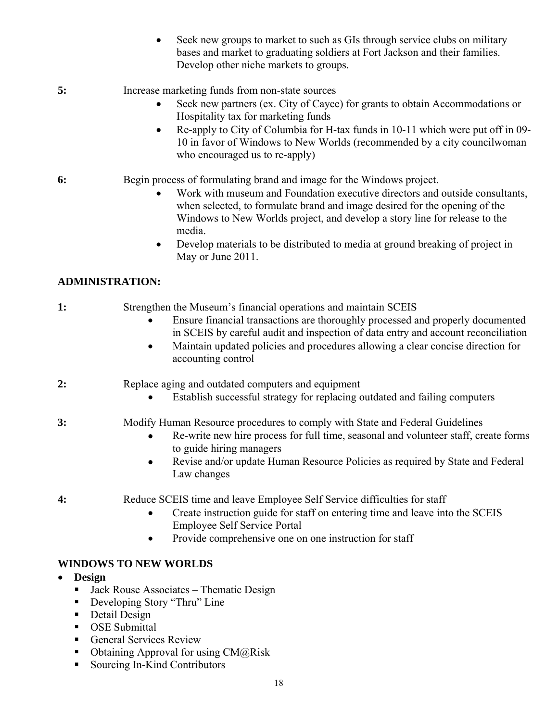- Seek new groups to market to such as GIs through service clubs on military bases and market to graduating soldiers at Fort Jackson and their families. Develop other niche markets to groups.
- **5:** Increase marketing funds from non-state sources
	- Seek new partners (ex. City of Cayce) for grants to obtain Accommodations or Hospitality tax for marketing funds
	- Re-apply to City of Columbia for H-tax funds in 10-11 which were put off in 09- 10 in favor of Windows to New Worlds (recommended by a city councilwoman who encouraged us to re-apply)
- **6:** Begin process of formulating brand and image for the Windows project.
	- Work with museum and Foundation executive directors and outside consultants, when selected, to formulate brand and image desired for the opening of the Windows to New Worlds project, and develop a story line for release to the media.
	- Develop materials to be distributed to media at ground breaking of project in May or June 2011.

## **ADMINISTRATION:**

- **1:** Strengthen the Museum's financial operations and maintain SCEIS
	- Ensure financial transactions are thoroughly processed and properly documented in SCEIS by careful audit and inspection of data entry and account reconciliation
	- Maintain updated policies and procedures allowing a clear concise direction for accounting control
- **2:** Replace aging and outdated computers and equipment
	- Establish successful strategy for replacing outdated and failing computers

## **3:** Modify Human Resource procedures to comply with State and Federal Guidelines

- Re-write new hire process for full time, seasonal and volunteer staff, create forms to guide hiring managers
- Revise and/or update Human Resource Policies as required by State and Federal Law changes
- **4:** Reduce SCEIS time and leave Employee Self Service difficulties for staff
	- Create instruction guide for staff on entering time and leave into the SCEIS Employee Self Service Portal
	- Provide comprehensive one on one instruction for staff

#### **WINDOWS TO NEW WORLDS**

- **Design** 
	- Jack Rouse Associates Thematic Design
	- Developing Story "Thru" Line
	- Detail Design
	- **OSE** Submittal
	- General Services Review
	- Obtaining Approval for using  $CM@Risk$
	- Sourcing In-Kind Contributors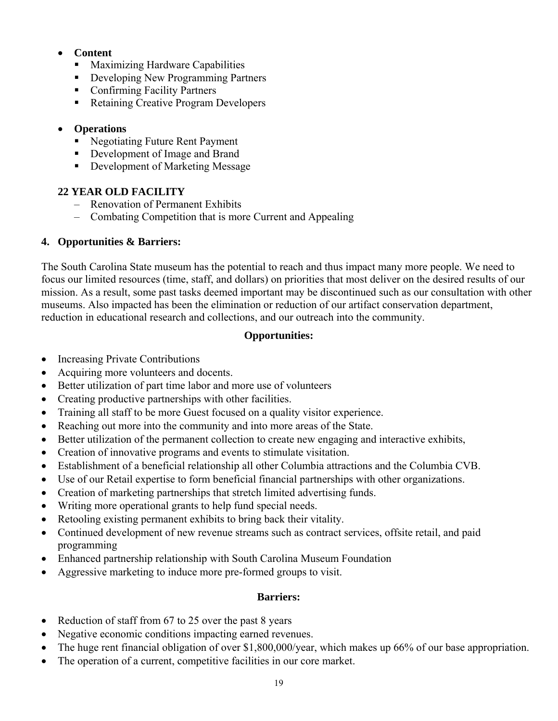## • **Content**

- **Maximizing Hardware Capabilities**
- Developing New Programming Partners
- **Confirming Facility Partners**
- Retaining Creative Program Developers

#### • **Operations**

- Negotiating Future Rent Payment
- Development of Image and Brand
- Development of Marketing Message

#### **22 YEAR OLD FACILITY**

- Renovation of Permanent Exhibits
- Combating Competition that is more Current and Appealing

#### **4. Opportunities & Barriers:**

The South Carolina State museum has the potential to reach and thus impact many more people. We need to focus our limited resources (time, staff, and dollars) on priorities that most deliver on the desired results of our mission. As a result, some past tasks deemed important may be discontinued such as our consultation with other museums. Also impacted has been the elimination or reduction of our artifact conservation department, reduction in educational research and collections, and our outreach into the community.

#### **Opportunities:**

- Increasing Private Contributions
- Acquiring more volunteers and docents.
- Better utilization of part time labor and more use of volunteers
- Creating productive partnerships with other facilities.
- Training all staff to be more Guest focused on a quality visitor experience.
- Reaching out more into the community and into more areas of the State.
- Better utilization of the permanent collection to create new engaging and interactive exhibits,
- Creation of innovative programs and events to stimulate visitation.
- Establishment of a beneficial relationship all other Columbia attractions and the Columbia CVB.
- Use of our Retail expertise to form beneficial financial partnerships with other organizations.
- Creation of marketing partnerships that stretch limited advertising funds.
- Writing more operational grants to help fund special needs.
- Retooling existing permanent exhibits to bring back their vitality.
- Continued development of new revenue streams such as contract services, offsite retail, and paid programming
- Enhanced partnership relationship with South Carolina Museum Foundation
- Aggressive marketing to induce more pre-formed groups to visit.

#### **Barriers:**

- Reduction of staff from 67 to 25 over the past 8 years
- Negative economic conditions impacting earned revenues.
- The huge rent financial obligation of over \$1,800,000/year, which makes up 66% of our base appropriation.
- The operation of a current, competitive facilities in our core market.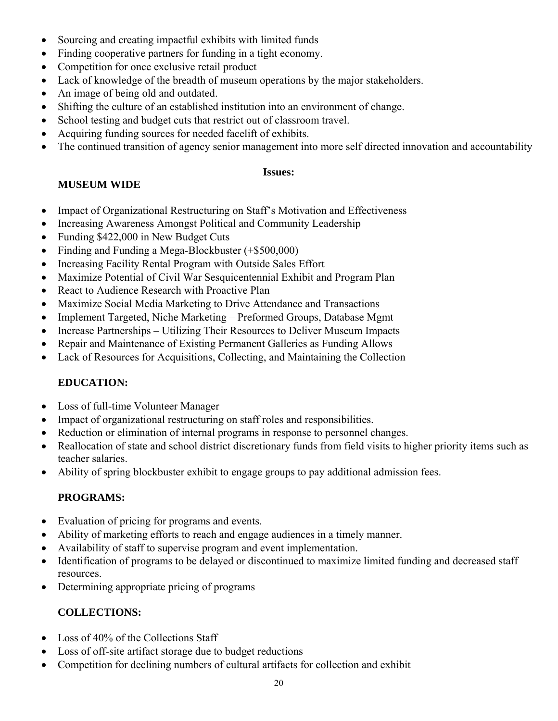- Sourcing and creating impactful exhibits with limited funds
- Finding cooperative partners for funding in a tight economy.
- Competition for once exclusive retail product
- Lack of knowledge of the breadth of museum operations by the major stakeholders.
- An image of being old and outdated.
- Shifting the culture of an established institution into an environment of change.
- School testing and budget cuts that restrict out of classroom travel.
- Acquiring funding sources for needed facelift of exhibits.
- The continued transition of agency senior management into more self directed innovation and accountability

#### **Issues:**

#### **MUSEUM WIDE**

- Impact of Organizational Restructuring on Staff's Motivation and Effectiveness
- Increasing Awareness Amongst Political and Community Leadership
- Funding \$422,000 in New Budget Cuts
- Finding and Funding a Mega-Blockbuster (+\$500,000)
- Increasing Facility Rental Program with Outside Sales Effort
- Maximize Potential of Civil War Sesquicentennial Exhibit and Program Plan
- React to Audience Research with Proactive Plan
- Maximize Social Media Marketing to Drive Attendance and Transactions
- Implement Targeted, Niche Marketing Preformed Groups, Database Mgmt
- Increase Partnerships Utilizing Their Resources to Deliver Museum Impacts
- Repair and Maintenance of Existing Permanent Galleries as Funding Allows
- Lack of Resources for Acquisitions, Collecting, and Maintaining the Collection

## **EDUCATION:**

- Loss of full-time Volunteer Manager
- Impact of organizational restructuring on staff roles and responsibilities.
- Reduction or elimination of internal programs in response to personnel changes.
- Reallocation of state and school district discretionary funds from field visits to higher priority items such as teacher salaries.
- Ability of spring blockbuster exhibit to engage groups to pay additional admission fees.

## **PROGRAMS:**

- Evaluation of pricing for programs and events.
- Ability of marketing efforts to reach and engage audiences in a timely manner.
- Availability of staff to supervise program and event implementation.
- Identification of programs to be delayed or discontinued to maximize limited funding and decreased staff resources.
- Determining appropriate pricing of programs

# **COLLECTIONS:**

- Loss of 40% of the Collections Staff
- Loss of off-site artifact storage due to budget reductions
- Competition for declining numbers of cultural artifacts for collection and exhibit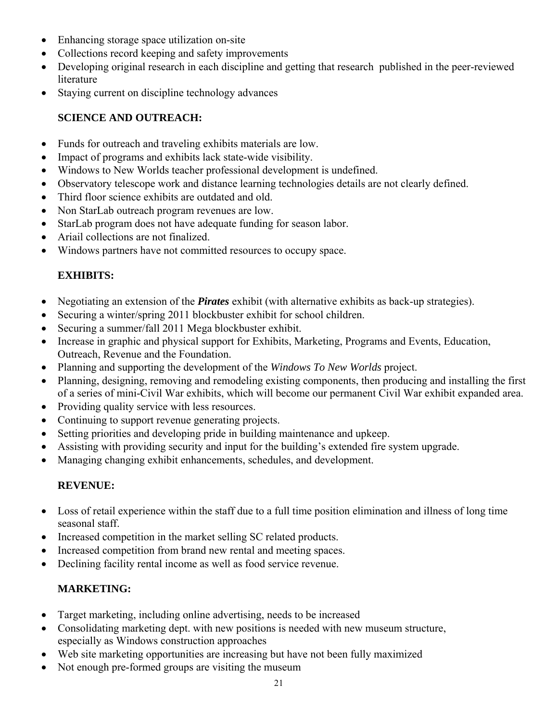- Enhancing storage space utilization on-site
- Collections record keeping and safety improvements
- Developing original research in each discipline and getting that research published in the peer-reviewed literature
- Staying current on discipline technology advances

## **SCIENCE AND OUTREACH:**

- Funds for outreach and traveling exhibits materials are low.
- Impact of programs and exhibits lack state-wide visibility.
- Windows to New Worlds teacher professional development is undefined.
- Observatory telescope work and distance learning technologies details are not clearly defined.
- Third floor science exhibits are outdated and old.
- Non StarLab outreach program revenues are low.
- StarLab program does not have adequate funding for season labor.
- Ariail collections are not finalized.
- Windows partners have not committed resources to occupy space.

# **EXHIBITS:**

- Negotiating an extension of the *Pirates* exhibit (with alternative exhibits as back-up strategies).
- Securing a winter/spring 2011 blockbuster exhibit for school children.
- Securing a summer/fall 2011 Mega blockbuster exhibit.
- Increase in graphic and physical support for Exhibits, Marketing, Programs and Events, Education, Outreach, Revenue and the Foundation.
- Planning and supporting the development of the *Windows To New Worlds* project.
- Planning, designing, removing and remodeling existing components, then producing and installing the first of a series of mini-Civil War exhibits, which will become our permanent Civil War exhibit expanded area.
- Providing quality service with less resources.
- Continuing to support revenue generating projects.
- Setting priorities and developing pride in building maintenance and upkeep.
- Assisting with providing security and input for the building's extended fire system upgrade.
- Managing changing exhibit enhancements, schedules, and development.

## **REVENUE:**

- Loss of retail experience within the staff due to a full time position elimination and illness of long time seasonal staff.
- Increased competition in the market selling SC related products.
- Increased competition from brand new rental and meeting spaces.
- Declining facility rental income as well as food service revenue.

## **MARKETING:**

- Target marketing, including online advertising, needs to be increased
- Consolidating marketing dept. with new positions is needed with new museum structure, especially as Windows construction approaches
- Web site marketing opportunities are increasing but have not been fully maximized
- Not enough pre-formed groups are visiting the museum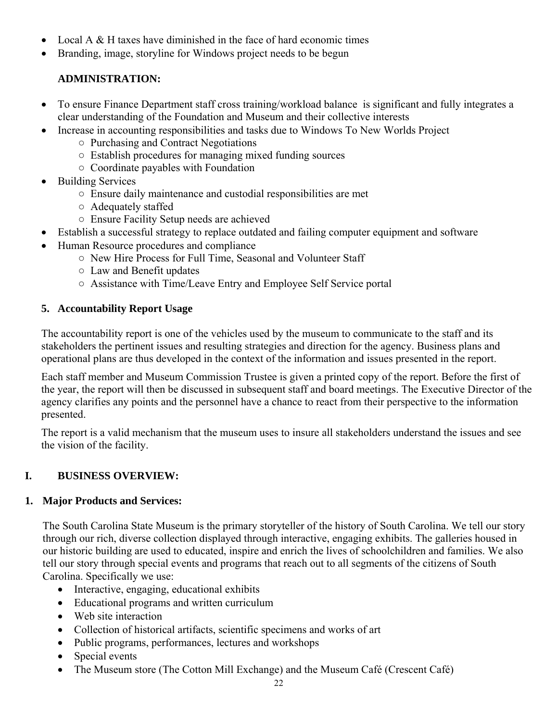- Local A & H taxes have diminished in the face of hard economic times
- Branding, image, storyline for Windows project needs to be begun

# **ADMINISTRATION:**

- To ensure Finance Department staff cross training/workload balance is significant and fully integrates a clear understanding of the Foundation and Museum and their collective interests
- Increase in accounting responsibilities and tasks due to Windows To New Worlds Project
	- Purchasing and Contract Negotiations
	- Establish procedures for managing mixed funding sources
	- Coordinate payables with Foundation
- Building Services
	- Ensure daily maintenance and custodial responsibilities are met
	- Adequately staffed
	- Ensure Facility Setup needs are achieved
- Establish a successful strategy to replace outdated and failing computer equipment and software
- Human Resource procedures and compliance
	- New Hire Process for Full Time, Seasonal and Volunteer Staff
	- Law and Benefit updates
	- Assistance with Time/Leave Entry and Employee Self Service portal

#### **5. Accountability Report Usage**

The accountability report is one of the vehicles used by the museum to communicate to the staff and its stakeholders the pertinent issues and resulting strategies and direction for the agency. Business plans and operational plans are thus developed in the context of the information and issues presented in the report.

Each staff member and Museum Commission Trustee is given a printed copy of the report. Before the first of the year, the report will then be discussed in subsequent staff and board meetings. The Executive Director of the agency clarifies any points and the personnel have a chance to react from their perspective to the information presented.

The report is a valid mechanism that the museum uses to insure all stakeholders understand the issues and see the vision of the facility.

## **I. BUSINESS OVERVIEW:**

## **1. Major Products and Services:**

The South Carolina State Museum is the primary storyteller of the history of South Carolina. We tell our story through our rich, diverse collection displayed through interactive, engaging exhibits. The galleries housed in our historic building are used to educated, inspire and enrich the lives of schoolchildren and families. We also tell our story through special events and programs that reach out to all segments of the citizens of South Carolina. Specifically we use:

- Interactive, engaging, educational exhibits
- Educational programs and written curriculum
- Web site interaction
- Collection of historical artifacts, scientific specimens and works of art
- Public programs, performances, lectures and workshops
- Special events
- The Museum store (The Cotton Mill Exchange) and the Museum Café (Crescent Café)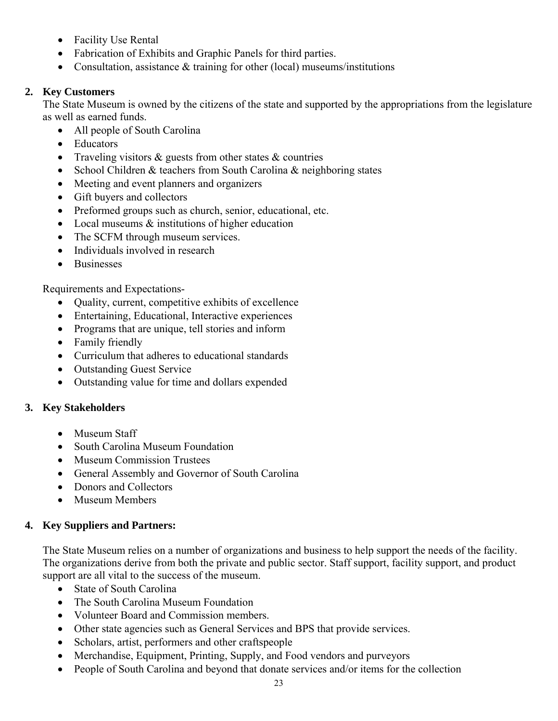- Facility Use Rental
- Fabrication of Exhibits and Graphic Panels for third parties.
- Consultation, assistance & training for other (local) museums/institutions

#### **2. Key Customers**

The State Museum is owned by the citizens of the state and supported by the appropriations from the legislature as well as earned funds.

- All people of South Carolina
- Educators
- Traveling visitors & guests from other states & countries
- School Children & teachers from South Carolina & neighboring states
- Meeting and event planners and organizers
- Gift buyers and collectors
- Preformed groups such as church, senior, educational, etc.
- Local museums  $\&$  institutions of higher education
- The SCFM through museum services.
- Individuals involved in research
- Businesses

Requirements and Expectations-

- Quality, current, competitive exhibits of excellence
- Entertaining, Educational, Interactive experiences
- Programs that are unique, tell stories and inform
- Family friendly
- Curriculum that adheres to educational standards
- Outstanding Guest Service
- Outstanding value for time and dollars expended

#### **3. Key Stakeholders**

- Museum Staff
- South Carolina Museum Foundation
- Museum Commission Trustees
- General Assembly and Governor of South Carolina
- Donors and Collectors
- Museum Members

#### **4. Key Suppliers and Partners:**

The State Museum relies on a number of organizations and business to help support the needs of the facility. The organizations derive from both the private and public sector. Staff support, facility support, and product support are all vital to the success of the museum.

- State of South Carolina
- The South Carolina Museum Foundation
- Volunteer Board and Commission members.
- Other state agencies such as General Services and BPS that provide services.
- Scholars, artist, performers and other craftspeople
- Merchandise, Equipment, Printing, Supply, and Food vendors and purveyors
- People of South Carolina and beyond that donate services and/or items for the collection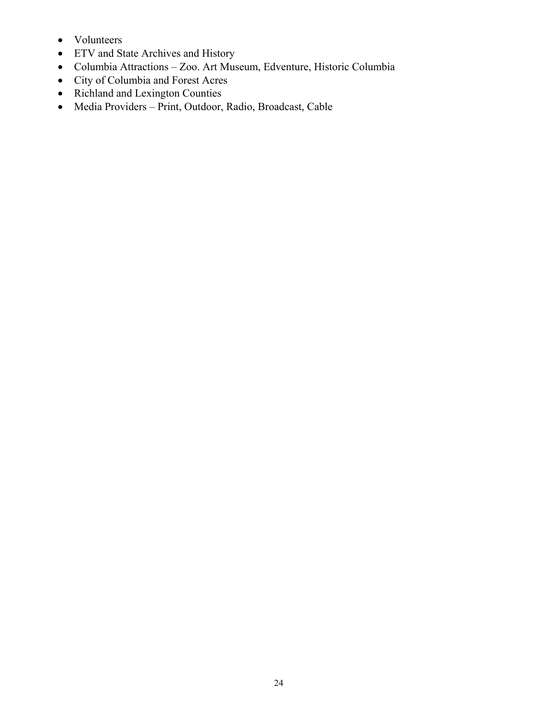- Volunteers
- ETV and State Archives and History
- Columbia Attractions Zoo. Art Museum, Edventure, Historic Columbia
- City of Columbia and Forest Acres
- Richland and Lexington Counties
- Media Providers Print, Outdoor, Radio, Broadcast, Cable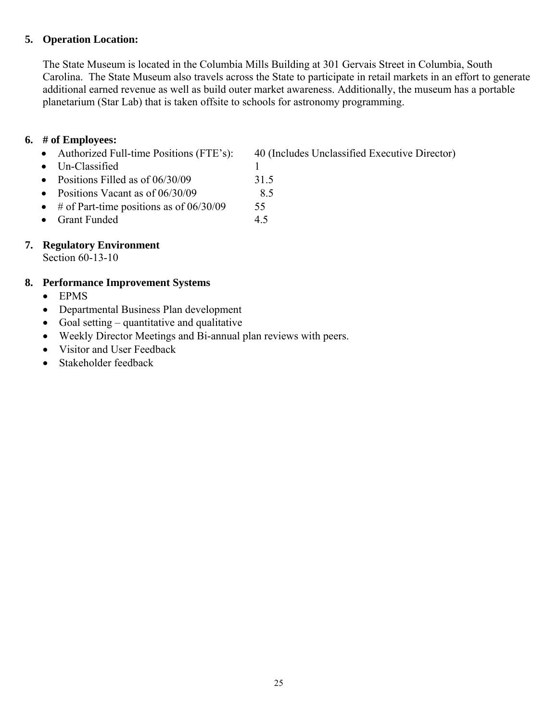#### **5. Operation Location:**

The State Museum is located in the Columbia Mills Building at 301 Gervais Street in Columbia, South Carolina. The State Museum also travels across the State to participate in retail markets in an effort to generate additional earned revenue as well as build outer market awareness. Additionally, the museum has a portable planetarium (Star Lab) that is taken offsite to schools for astronomy programming.

#### **6. # of Employees:**

• Authorized Full-time Positions (FTE's): 40 (Includes Unclassified Executive Director)

- Un-Classified 1
- Positions Filled as of 06/30/09 31.5
- Positions Vacant as of  $06/30/09$  8.5
- # of Part-time positions as of  $06/30/09$  55
- Grant Funded 4.5

## **7. Regulatory Environment**

Section 60-13-10

## **8. Performance Improvement Systems**

- EPMS
- Departmental Business Plan development
- Goal setting quantitative and qualitative
- Weekly Director Meetings and Bi-annual plan reviews with peers.
- Visitor and User Feedback
- Stakeholder feedback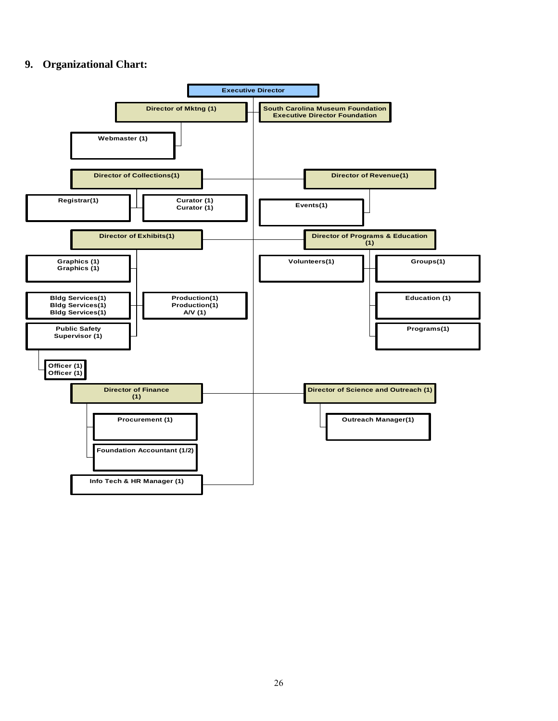#### **9. Organizational Chart:**

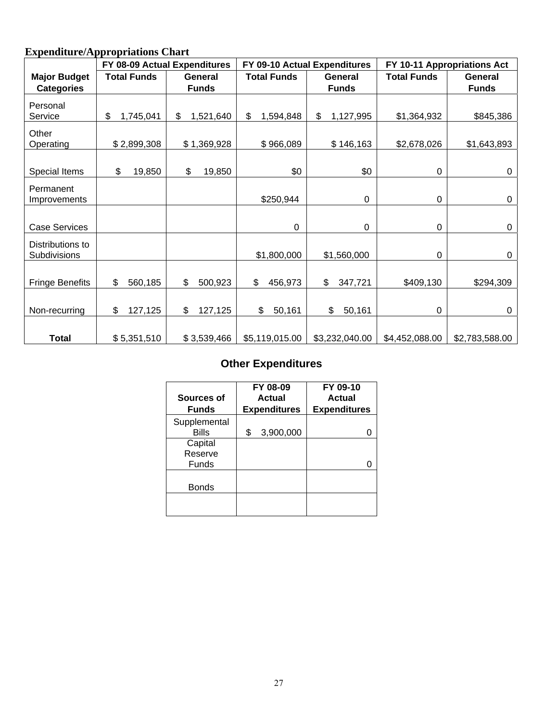# **Expenditure/Appropriations Chart**

|                                  |                                      | FY 08-09 Actual Expenditures<br>FY 09-10 Actual Expenditures<br>FY 10-11 Appropriations Act |                    |                 |                    |                |
|----------------------------------|--------------------------------------|---------------------------------------------------------------------------------------------|--------------------|-----------------|--------------------|----------------|
| <b>Major Budget</b>              | <b>Total Funds</b><br><b>General</b> |                                                                                             | <b>Total Funds</b> | <b>General</b>  | <b>Total Funds</b> | General        |
| <b>Categories</b>                |                                      | <b>Funds</b>                                                                                |                    | <b>Funds</b>    |                    | <b>Funds</b>   |
| Personal<br>Service              | \$<br>1,745,041                      | \$<br>1,521,640                                                                             | \$<br>1,594,848    | \$<br>1,127,995 | \$1,364,932        | \$845,386      |
| Other<br>Operating               | \$2,899,308                          | \$1,369,928                                                                                 | \$966,089          | \$146,163       | \$2,678,026        | \$1,643,893    |
| Special Items                    | 19,850<br>\$                         | \$<br>19,850                                                                                | \$0                | \$0             | 0                  | $\mathbf 0$    |
| Permanent<br>Improvements        |                                      |                                                                                             | \$250,944          | $\mathbf 0$     | $\mathbf 0$        | $\mathbf 0$    |
| <b>Case Services</b>             |                                      |                                                                                             | 0                  | 0               | 0                  | 0              |
| Distributions to<br>Subdivisions |                                      |                                                                                             | \$1,800,000        | \$1,560,000     | 0                  | 0              |
| <b>Fringe Benefits</b>           | \$<br>560,185                        | \$<br>500,923                                                                               | \$<br>456,973      | \$<br>347,721   | \$409,130          | \$294,309      |
| Non-recurring                    | 127,125<br>\$                        | \$<br>127,125                                                                               | \$<br>50,161       | \$<br>50,161    | 0                  | 0              |
| <b>Total</b>                     | \$5,351,510                          | \$3,539,466                                                                                 | \$5,119,015.00     | \$3,232,040.00  | \$4,452,088.00     | \$2,783,588.00 |

# **Other Expenditures**

| Sources of<br><b>Funds</b>   | FY 08-09<br>Actual<br><b>Expenditures</b> | FY 09-10<br>Actual<br><b>Expenditures</b> |
|------------------------------|-------------------------------------------|-------------------------------------------|
| Supplemental<br><b>Bills</b> | 3,900,000<br>\$                           |                                           |
| Capital<br>Reserve<br>Funds  |                                           |                                           |
| <b>Bonds</b>                 |                                           |                                           |
|                              |                                           |                                           |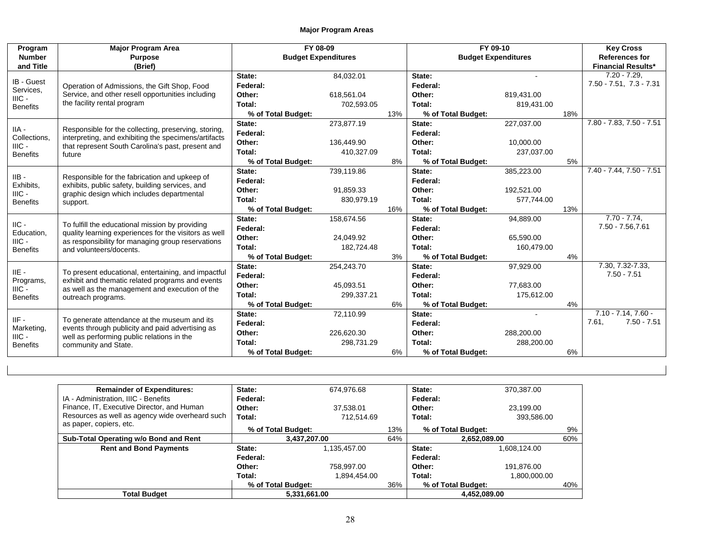| Program         | <b>Major Program Area</b>                                                                                    | FY 08-09                   |            | FY 09-10 |                            |            | <b>Key Cross</b> |                              |
|-----------------|--------------------------------------------------------------------------------------------------------------|----------------------------|------------|----------|----------------------------|------------|------------------|------------------------------|
| <b>Number</b>   | <b>Purpose</b>                                                                                               | <b>Budget Expenditures</b> |            |          | <b>Budget Expenditures</b> |            |                  | <b>References for</b>        |
| and Title       | (Brief)                                                                                                      |                            |            |          |                            |            |                  | <b>Financial Results*</b>    |
| IB - Guest      |                                                                                                              | State:                     | 84,032.01  |          | State:                     |            |                  | $7.20 - 7.29$                |
| Services,       | Operation of Admissions, the Gift Shop, Food                                                                 | Federal:                   |            |          | Federal:                   |            |                  | $7.50 - 7.51$ , $7.3 - 7.31$ |
| $HIC -$         | Service, and other resell opportunities including                                                            | Other:                     | 618.561.04 |          | Other:                     | 819,431.00 |                  |                              |
| <b>Benefits</b> | the facility rental program                                                                                  | Total:                     | 702,593.05 |          | Total:                     | 819,431.00 |                  |                              |
|                 |                                                                                                              | % of Total Budget:         |            | 13%      | % of Total Budget:         |            | 18%              |                              |
| $IIA -$         |                                                                                                              | State:                     | 273,877.19 |          | State:                     | 227,037.00 |                  | 7.80 - 7.83, 7.50 - 7.51     |
| Collections.    | Responsible for the collecting, preserving, storing,<br>interpreting, and exhibiting the specimens/artifacts | Federal:                   |            |          | Federal:                   |            |                  |                              |
| $HIC -$         | that represent South Carolina's past, present and                                                            | Other:                     | 136,449.90 |          | Other:                     | 10,000.00  |                  |                              |
| <b>Benefits</b> | future                                                                                                       | Total:                     | 410,327.09 |          | Total:                     | 237,037.00 |                  |                              |
|                 |                                                                                                              | % of Total Budget:         |            | 8%       | % of Total Budget:         |            | 5%               |                              |
| $IIB -$         |                                                                                                              | State:                     | 739.119.86 |          | State:                     | 385,223.00 |                  | 7.40 - 7.44, 7.50 - 7.51     |
| Exhibits,       | Responsible for the fabrication and upkeep of<br>exhibits, public safety, building services, and             | Federal:                   |            |          | Federal:                   |            |                  |                              |
| $IIIC -$        | graphic design which includes departmental<br>support.                                                       | Other:                     | 91.859.33  |          | Other:                     | 192,521.00 |                  |                              |
| <b>Benefits</b> |                                                                                                              | Total:                     | 830,979.19 |          | Total:                     | 577,744.00 |                  |                              |
|                 |                                                                                                              | % of Total Budget:         |            | 16%      | % of Total Budget:         |            | 13%              |                              |
| $\text{IIC}$ -  | To fulfill the educational mission by providing                                                              | State:                     | 158,674.56 |          | State:                     | 94,889.00  |                  | $7.70 - 7.74.$               |
| Education,      | quality learning experiences for the visitors as well                                                        | Federal:                   |            |          | Federal:                   |            |                  | 7.50 - 7.56,7.61             |
| $IIIC -$        | as responsibility for managing group reservations                                                            | Other:                     | 24,049.92  |          | Other:                     | 65,590.00  |                  |                              |
| <b>Benefits</b> | and volunteers/docents.                                                                                      | Total:                     | 182,724.48 |          | Total:                     | 160,479.00 |                  |                              |
|                 |                                                                                                              | % of Total Budget:         |            | 3%       | % of Total Budget:         |            | 4%               |                              |
| $IIE -$         | To present educational, entertaining, and impactful                                                          | State:                     | 254,243.70 |          | State:                     | 97,929.00  |                  | 7.30, 7.32-7.33,             |
| Programs,       | exhibit and thematic related programs and events                                                             | Federal:                   |            |          | Federal:                   |            |                  | $7.50 - 7.51$                |
| $HIC -$         | as well as the management and execution of the                                                               | Other:                     | 45.093.51  |          | Other:                     | 77.683.00  |                  |                              |
| <b>Benefits</b> | outreach programs.                                                                                           | Total:                     | 299,337.21 |          | Total:                     | 175,612.00 |                  |                              |
|                 |                                                                                                              | % of Total Budget:         |            | 6%       | % of Total Budget:         |            | 4%               |                              |
| $IIF -$         | To generate attendance at the museum and its                                                                 | State:                     | 72,110.99  |          | State:                     |            |                  | $7.10 - 7.14$ , $7.60 -$     |
| Marketing,      | events through publicity and paid advertising as                                                             | Federal:                   |            |          | Federal:                   |            |                  | $7.50 - 7.51$<br>7.61,       |
| $IILC -$        | well as performing public relations in the                                                                   | Other:                     | 226,620.30 |          | Other:                     | 288,200.00 |                  |                              |
| <b>Benefits</b> | community and State.                                                                                         | Total:                     | 298,731.29 |          | Total:                     | 288,200.00 |                  |                              |
|                 |                                                                                                              | % of Total Budget:         |            | 6%       | % of Total Budget:         |            | 6%               |                              |

| <b>Remainder of Expenditures:</b>               | State:             | 674.976.68   |     | State:             | 370,387.00   |     |
|-------------------------------------------------|--------------------|--------------|-----|--------------------|--------------|-----|
| IA - Administration, IIIC - Benefits            | Federal:           |              |     | Federal:           |              |     |
| Finance, IT, Executive Director, and Human      | Other:             | 37.538.01    |     | Other:             | 23.199.00    |     |
| Resources as well as agency wide overheard such | Total:             | 712.514.69   |     | Total:             | 393,586.00   |     |
| as paper, copiers, etc.                         | % of Total Budget: |              | 13% | % of Total Budget: |              | 9%  |
| Sub-Total Operating w/o Bond and Rent           | 3,437,207.00       |              | 64% |                    | 2,652,089.00 | 60% |
| <b>Rent and Bond Payments</b>                   | State:             | 1,135,457.00 |     | State:             | 1,608,124.00 |     |
|                                                 | Federal:           |              |     | Federal:           |              |     |
|                                                 | Other:             | 758.997.00   |     | Other:             | 191,876.00   |     |
|                                                 | Total:             | 1,894,454.00 |     | Total:             | 1,800,000.00 |     |
|                                                 | % of Total Budget: |              | 36% | % of Total Budget: |              | 40% |
|                                                 |                    |              |     | 4,452,089.00       |              |     |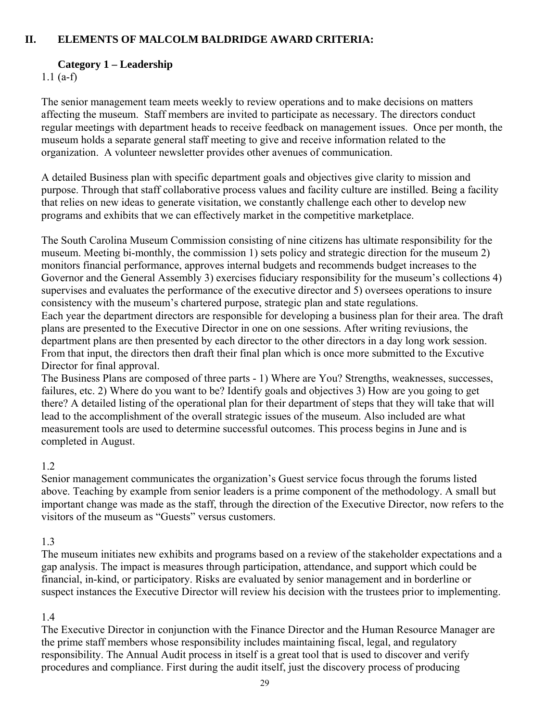#### **II. ELEMENTS OF MALCOLM BALDRIDGE AWARD CRITERIA:**

#### **Category 1 – Leadership**

1.1 (a-f)

The senior management team meets weekly to review operations and to make decisions on matters affecting the museum. Staff members are invited to participate as necessary. The directors conduct regular meetings with department heads to receive feedback on management issues. Once per month, the museum holds a separate general staff meeting to give and receive information related to the organization. A volunteer newsletter provides other avenues of communication.

A detailed Business plan with specific department goals and objectives give clarity to mission and purpose. Through that staff collaborative process values and facility culture are instilled. Being a facility that relies on new ideas to generate visitation, we constantly challenge each other to develop new programs and exhibits that we can effectively market in the competitive marketplace.

The South Carolina Museum Commission consisting of nine citizens has ultimate responsibility for the museum. Meeting bi-monthly, the commission 1) sets policy and strategic direction for the museum 2) monitors financial performance, approves internal budgets and recommends budget increases to the Governor and the General Assembly 3) exercises fiduciary responsibility for the museum's collections 4) supervises and evaluates the performance of the executive director and 5) oversees operations to insure consistency with the museum's chartered purpose, strategic plan and state regulations.

Each year the department directors are responsible for developing a business plan for their area. The draft plans are presented to the Executive Director in one on one sessions. After writing reviusions, the department plans are then presented by each director to the other directors in a day long work session. From that input, the directors then draft their final plan which is once more submitted to the Excutive Director for final approval.

The Business Plans are composed of three parts - 1) Where are You? Strengths, weaknesses, successes, failures, etc. 2) Where do you want to be? Identify goals and objectives 3) How are you going to get there? A detailed listing of the operational plan for their department of steps that they will take that will lead to the accomplishment of the overall strategic issues of the museum. Also included are what measurement tools are used to determine successful outcomes. This process begins in June and is completed in August.

## 1.2

Senior management communicates the organization's Guest service focus through the forums listed above. Teaching by example from senior leaders is a prime component of the methodology. A small but important change was made as the staff, through the direction of the Executive Director, now refers to the visitors of the museum as "Guests" versus customers.

## 1.3

The museum initiates new exhibits and programs based on a review of the stakeholder expectations and a gap analysis. The impact is measures through participation, attendance, and support which could be financial, in-kind, or participatory. Risks are evaluated by senior management and in borderline or suspect instances the Executive Director will review his decision with the trustees prior to implementing.

## 1.4

The Executive Director in conjunction with the Finance Director and the Human Resource Manager are the prime staff members whose responsibility includes maintaining fiscal, legal, and regulatory responsibility. The Annual Audit process in itself is a great tool that is used to discover and verify procedures and compliance. First during the audit itself, just the discovery process of producing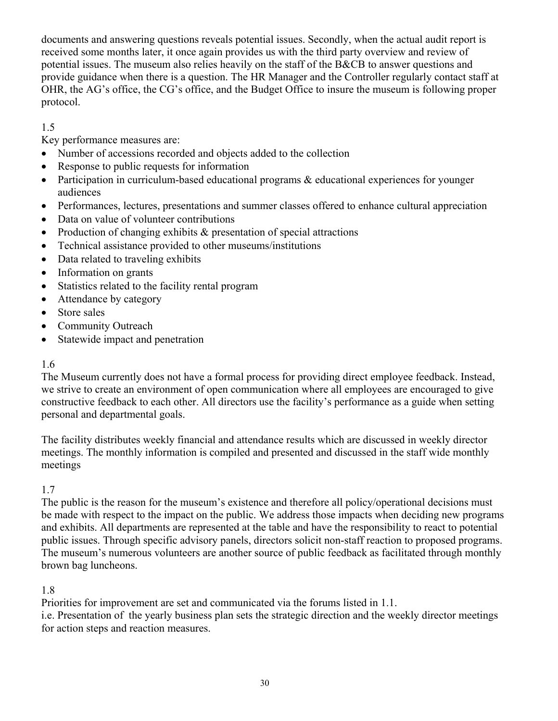documents and answering questions reveals potential issues. Secondly, when the actual audit report is received some months later, it once again provides us with the third party overview and review of potential issues. The museum also relies heavily on the staff of the B&CB to answer questions and provide guidance when there is a question. The HR Manager and the Controller regularly contact staff at OHR, the AG's office, the CG's office, and the Budget Office to insure the museum is following proper protocol.

# 1.5

Key performance measures are:

- Number of accessions recorded and objects added to the collection
- Response to public requests for information
- Participation in curriculum-based educational programs  $\&$  educational experiences for younger audiences
- Performances, lectures, presentations and summer classes offered to enhance cultural appreciation
- Data on value of volunteer contributions
- Production of changing exhibits & presentation of special attractions
- Technical assistance provided to other museums/institutions
- Data related to traveling exhibits
- Information on grants
- Statistics related to the facility rental program
- Attendance by category
- Store sales
- Community Outreach
- Statewide impact and penetration

## 1.6

The Museum currently does not have a formal process for providing direct employee feedback. Instead, we strive to create an environment of open communication where all employees are encouraged to give constructive feedback to each other. All directors use the facility's performance as a guide when setting personal and departmental goals.

The facility distributes weekly financial and attendance results which are discussed in weekly director meetings. The monthly information is compiled and presented and discussed in the staff wide monthly meetings

## 1.7

The public is the reason for the museum's existence and therefore all policy/operational decisions must be made with respect to the impact on the public. We address those impacts when deciding new programs and exhibits. All departments are represented at the table and have the responsibility to react to potential public issues. Through specific advisory panels, directors solicit non-staff reaction to proposed programs. The museum's numerous volunteers are another source of public feedback as facilitated through monthly brown bag luncheons.

## 1.8

Priorities for improvement are set and communicated via the forums listed in 1.1.

i.e. Presentation of the yearly business plan sets the strategic direction and the weekly director meetings for action steps and reaction measures.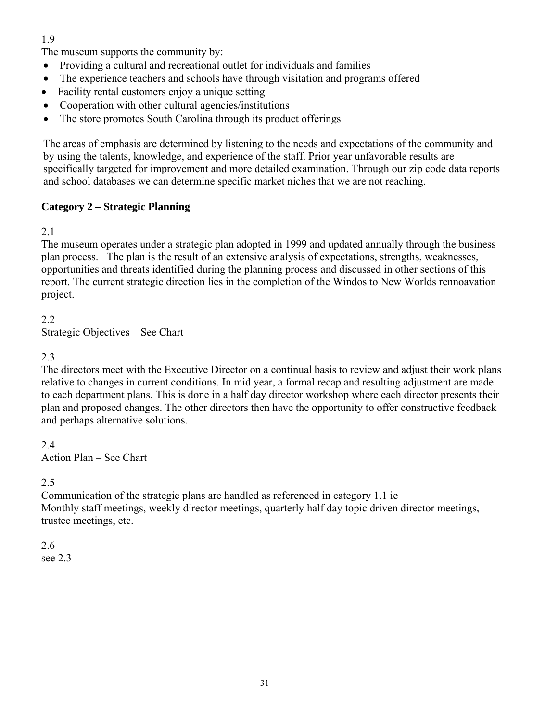# 1.9

The museum supports the community by:

- Providing a cultural and recreational outlet for individuals and families
- The experience teachers and schools have through visitation and programs offered
- Facility rental customers enjoy a unique setting
- Cooperation with other cultural agencies/institutions
- The store promotes South Carolina through its product offerings

The areas of emphasis are determined by listening to the needs and expectations of the community and by using the talents, knowledge, and experience of the staff. Prior year unfavorable results are specifically targeted for improvement and more detailed examination. Through our zip code data reports and school databases we can determine specific market niches that we are not reaching.

#### **Category 2 – Strategic Planning**

#### 2.1

The museum operates under a strategic plan adopted in 1999 and updated annually through the business plan process. The plan is the result of an extensive analysis of expectations, strengths, weaknesses, opportunities and threats identified during the planning process and discussed in other sections of this report. The current strategic direction lies in the completion of the Windos to New Worlds rennoavation project.

#### 2.2

Strategic Objectives – See Chart

#### 2.3

The directors meet with the Executive Director on a continual basis to review and adjust their work plans relative to changes in current conditions. In mid year, a formal recap and resulting adjustment are made to each department plans. This is done in a half day director workshop where each director presents their plan and proposed changes. The other directors then have the opportunity to offer constructive feedback and perhaps alternative solutions.

2.4 Action Plan – See Chart

#### 2.5

Communication of the strategic plans are handled as referenced in category 1.1 ie Monthly staff meetings, weekly director meetings, quarterly half day topic driven director meetings, trustee meetings, etc.

# 2.6

see 2.3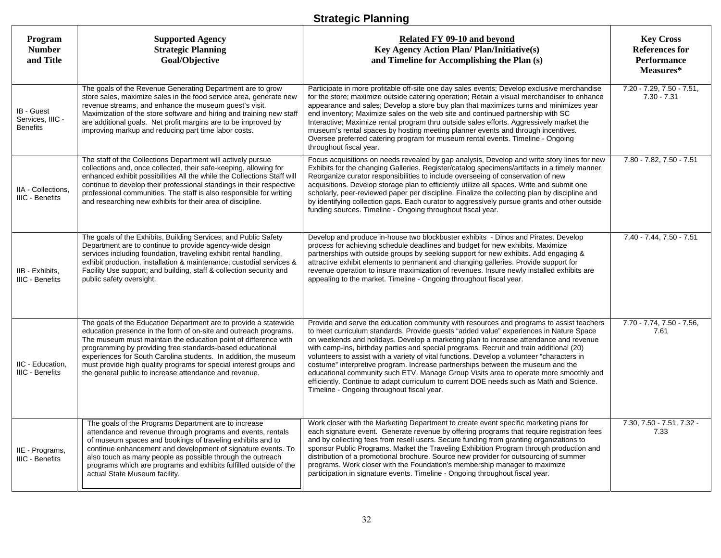# **Strategic Planning**

| Program<br><b>Number</b><br>and Title             | <b>Supported Agency</b><br><b>Strategic Planning</b><br>Goal/Objective                                                                                                                                                                                                                                                                                                                                                                                                   | Related FY 09-10 and beyond<br><b>Key Agency Action Plan/Plan/Initiative(s)</b><br>and Timeline for Accomplishing the Plan (s)                                                                                                                                                                                                                                                                                                                                                                                                                                                                                                                                                                                                                                                             | <b>Key Cross</b><br><b>References for</b><br><b>Performance</b><br>Measures* |
|---------------------------------------------------|--------------------------------------------------------------------------------------------------------------------------------------------------------------------------------------------------------------------------------------------------------------------------------------------------------------------------------------------------------------------------------------------------------------------------------------------------------------------------|--------------------------------------------------------------------------------------------------------------------------------------------------------------------------------------------------------------------------------------------------------------------------------------------------------------------------------------------------------------------------------------------------------------------------------------------------------------------------------------------------------------------------------------------------------------------------------------------------------------------------------------------------------------------------------------------------------------------------------------------------------------------------------------------|------------------------------------------------------------------------------|
| IB - Guest<br>Services. IIIC -<br><b>Benefits</b> | The goals of the Revenue Generating Department are to grow<br>store sales, maximize sales in the food service area, generate new<br>revenue streams, and enhance the museum guest's visit.<br>Maximization of the store software and hiring and training new staff<br>are additional goals. Net profit margins are to be improved by<br>improving markup and reducing part time labor costs.                                                                             | Participate in more profitable off-site one day sales events; Develop exclusive merchandise<br>for the store; maximize outside catering operation; Retain a visual merchandiser to enhance<br>appearance and sales; Develop a store buy plan that maximizes turns and minimizes year<br>end inventory; Maximize sales on the web site and continued partnership with SC<br>Interactive; Maximize rental program thru outside sales efforts. Aggressively market the<br>museum's rental spaces by hosting meeting planner events and through incentives.<br>Oversee preferred catering program for museum rental events. Timeline - Ongoing<br>throughout fiscal year.                                                                                                                      | $7.20 - 7.29, 7.50 - 7.51,$<br>$7.30 - 7.31$                                 |
| IIA - Collections,<br>IIIC - Benefits             | The staff of the Collections Department will actively pursue<br>collections and, once collected, their safe-keeping, allowing for<br>enhanced exhibit possibilities All the while the Collections Staff will<br>continue to develop their professional standings in their respective<br>professional communities. The staff is also responsible for writing<br>and researching new exhibits for their area of discipline.                                                | Focus acquisitions on needs revealed by gap analysis, Develop and write story lines for new<br>Exhibits for the changing Galleries. Register/catalog specimens/artifacts in a timely manner.<br>Reorganize curator responsibilities to include overseeing of conservation of new<br>acquisitions. Develop storage plan to efficiently utilize all spaces. Write and submit one<br>scholarly, peer-reviewed paper per discipline. Finalize the collecting plan by discipline and<br>by identifying collection gaps. Each curator to aggressively pursue grants and other outside<br>funding sources. Timeline - Ongoing throughout fiscal year.                                                                                                                                             | 7.80 - 7.82, 7.50 - 7.51                                                     |
| IIB - Exhibits,<br><b>IIIC - Benefits</b>         | The goals of the Exhibits, Building Services, and Public Safety<br>Department are to continue to provide agency-wide design<br>services including foundation, traveling exhibit rental handling,<br>exhibit production, installation & maintenance; custodial services &<br>Facility Use support; and building, staff & collection security and<br>public safety oversight.                                                                                              | Develop and produce in-house two blockbuster exhibits - Dinos and Pirates. Develop<br>process for achieving schedule deadlines and budget for new exhibits. Maximize<br>partnerships with outside groups by seeking support for new exhibits. Add engaging &<br>attractive exhibit elements to permanent and changing galleries. Provide support for<br>revenue operation to insure maximization of revenues. Insure newly installed exhibits are<br>appealing to the market. Timeline - Ongoing throughout fiscal year.                                                                                                                                                                                                                                                                   | 7.40 - 7.44, 7.50 - 7.51                                                     |
| IIC - Education,<br>IIIC - Benefits               | The goals of the Education Department are to provide a statewide<br>education presence in the form of on-site and outreach programs.<br>The museum must maintain the education point of difference with<br>programming by providing free standards-based educational<br>experiences for South Carolina students. In addition, the museum<br>must provide high quality programs for special interest groups and<br>the general public to increase attendance and revenue. | Provide and serve the education community with resources and programs to assist teachers<br>to meet curriculum standards. Provide guests "added value" experiences in Nature Space<br>on weekends and holidays. Develop a marketing plan to increase attendance and revenue<br>with camp-ins, birthday parties and special programs. Recruit and train additional (20)<br>volunteers to assist with a variety of vital functions. Develop a volunteer "characters in<br>costume" interpretive program. Increase partnerships between the museum and the<br>educational community such ETV. Manage Group Visits area to operate more smoothly and<br>efficiently. Continue to adapt curriculum to current DOE needs such as Math and Science.<br>Timeline - Ongoing throughout fiscal year. | 7.70 - 7.74, 7.50 - 7.56,<br>7.61                                            |
| IIE - Programs,<br><b>IIIC - Benefits</b>         | The goals of the Programs Department are to increase<br>attendance and revenue through programs and events, rentals<br>of museum spaces and bookings of traveling exhibits and to<br>continue enhancement and development of signature events. To<br>also touch as many people as possible through the outreach<br>programs which are programs and exhibits fulfilled outside of the<br>actual State Museum facility.                                                    | Work closer with the Marketing Department to create event specific marketing plans for<br>each signature event. Generate revenue by offering programs that require registration fees<br>and by collecting fees from resell users. Secure funding from granting organizations to<br>sponsor Public Programs. Market the Traveling Exhibition Program through production and<br>distribution of a promotional brochure. Source new provider for outsourcing of summer<br>programs. Work closer with the Foundation's membership manager to maximize<br>participation in signature events. Timeline - Ongoing throughout fiscal year.                                                                                                                                                         | 7.30, 7.50 - 7.51, 7.32 -<br>7.33                                            |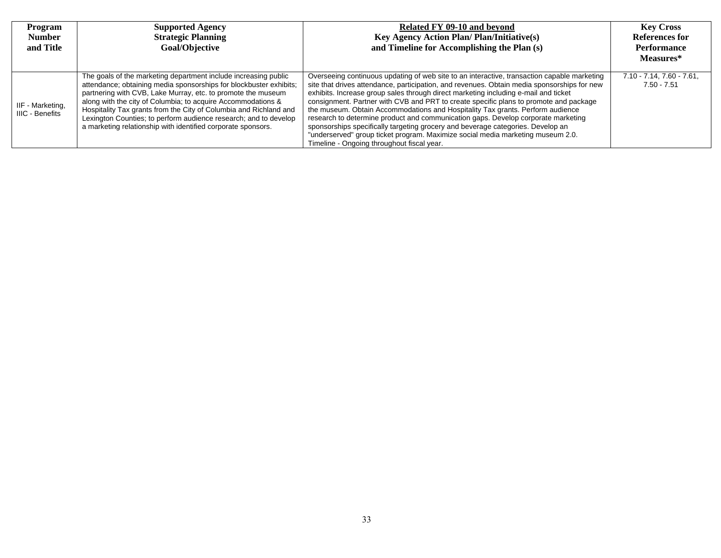| Program<br><b>Number</b>                   | <b>Supported Agency</b><br><b>Strategic Planning</b>                                                                                                                                                                                                                                                                                                                                                                                                                           | Related FY 09-10 and beyond<br><b>Key Agency Action Plan/Plan/Initiative(s)</b>                                                                                                                                                                                                                                                                                                                                                                                                                                                                                                                                                                                                                                                                                       | <b>Key Cross</b><br>References for               |
|--------------------------------------------|--------------------------------------------------------------------------------------------------------------------------------------------------------------------------------------------------------------------------------------------------------------------------------------------------------------------------------------------------------------------------------------------------------------------------------------------------------------------------------|-----------------------------------------------------------------------------------------------------------------------------------------------------------------------------------------------------------------------------------------------------------------------------------------------------------------------------------------------------------------------------------------------------------------------------------------------------------------------------------------------------------------------------------------------------------------------------------------------------------------------------------------------------------------------------------------------------------------------------------------------------------------------|--------------------------------------------------|
| and Title                                  | Goal/Objective                                                                                                                                                                                                                                                                                                                                                                                                                                                                 | and Timeline for Accomplishing the Plan (s)                                                                                                                                                                                                                                                                                                                                                                                                                                                                                                                                                                                                                                                                                                                           | Performance                                      |
|                                            |                                                                                                                                                                                                                                                                                                                                                                                                                                                                                |                                                                                                                                                                                                                                                                                                                                                                                                                                                                                                                                                                                                                                                                                                                                                                       | Measures*                                        |
| IIF - Marketing,<br><b>IIIC - Benefits</b> | The goals of the marketing department include increasing public<br>attendance; obtaining media sponsorships for blockbuster exhibits;<br>partnering with CVB, Lake Murray, etc. to promote the museum<br>along with the city of Columbia; to acquire Accommodations &<br>Hospitality Tax grants from the City of Columbia and Richland and<br>Lexington Counties; to perform audience research; and to develop<br>a marketing relationship with identified corporate sponsors. | Overseeing continuous updating of web site to an interactive, transaction capable marketing<br>site that drives attendance, participation, and revenues. Obtain media sponsorships for new<br>exhibits. Increase group sales through direct marketing including e-mail and ticket<br>consignment. Partner with CVB and PRT to create specific plans to promote and package<br>the museum. Obtain Accommodations and Hospitality Tax grants. Perform audience<br>research to determine product and communication gaps. Develop corporate marketing<br>sponsorships specifically targeting grocery and beverage categories. Develop an<br>"underserved" group ticket program. Maximize social media marketing museum 2.0.<br>Timeline - Ongoing throughout fiscal year. | $7.10 - 7.14$ , $7.60 - 7.61$ ,<br>$7.50 - 7.51$ |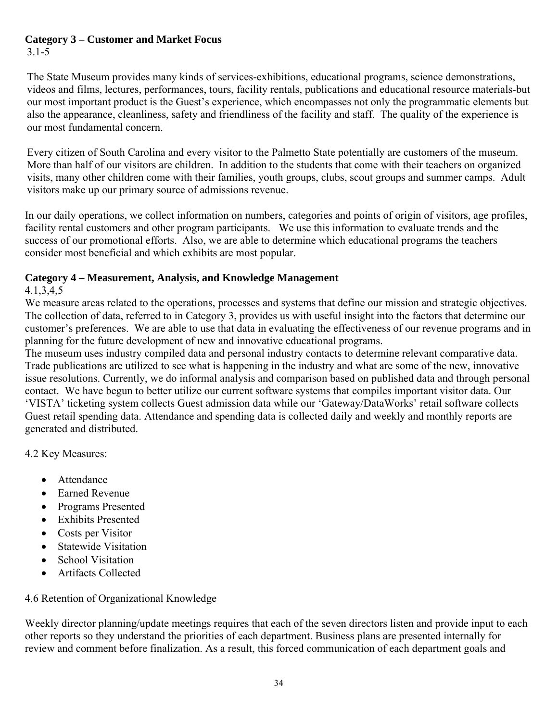# **Category 3 – Customer and Market Focus**

3.1-5

The State Museum provides many kinds of services-exhibitions, educational programs, science demonstrations, videos and films, lectures, performances, tours, facility rentals, publications and educational resource materials-but our most important product is the Guest's experience, which encompasses not only the programmatic elements but also the appearance, cleanliness, safety and friendliness of the facility and staff. The quality of the experience is our most fundamental concern.

Every citizen of South Carolina and every visitor to the Palmetto State potentially are customers of the museum. More than half of our visitors are children. In addition to the students that come with their teachers on organized visits, many other children come with their families, youth groups, clubs, scout groups and summer camps. Adult visitors make up our primary source of admissions revenue.

In our daily operations, we collect information on numbers, categories and points of origin of visitors, age profiles, facility rental customers and other program participants. We use this information to evaluate trends and the success of our promotional efforts. Also, we are able to determine which educational programs the teachers consider most beneficial and which exhibits are most popular.

# **Category 4 – Measurement, Analysis, and Knowledge Management**

## 4.1,3,4,5

We measure areas related to the operations, processes and systems that define our mission and strategic objectives. The collection of data, referred to in Category 3, provides us with useful insight into the factors that determine our customer's preferences. We are able to use that data in evaluating the effectiveness of our revenue programs and in planning for the future development of new and innovative educational programs.

The museum uses industry compiled data and personal industry contacts to determine relevant comparative data. Trade publications are utilized to see what is happening in the industry and what are some of the new, innovative issue resolutions. Currently, we do informal analysis and comparison based on published data and through personal contact. We have begun to better utilize our current software systems that compiles important visitor data. Our 'VISTA' ticketing system collects Guest admission data while our 'Gateway/DataWorks' retail software collects Guest retail spending data. Attendance and spending data is collected daily and weekly and monthly reports are generated and distributed.

4.2 Key Measures:

- Attendance
- Earned Revenue
- Programs Presented
- Exhibits Presented
- Costs per Visitor
- Statewide Visitation
- School Visitation
- Artifacts Collected

4.6 Retention of Organizational Knowledge

Weekly director planning/update meetings requires that each of the seven directors listen and provide input to each other reports so they understand the priorities of each department. Business plans are presented internally for review and comment before finalization. As a result, this forced communication of each department goals and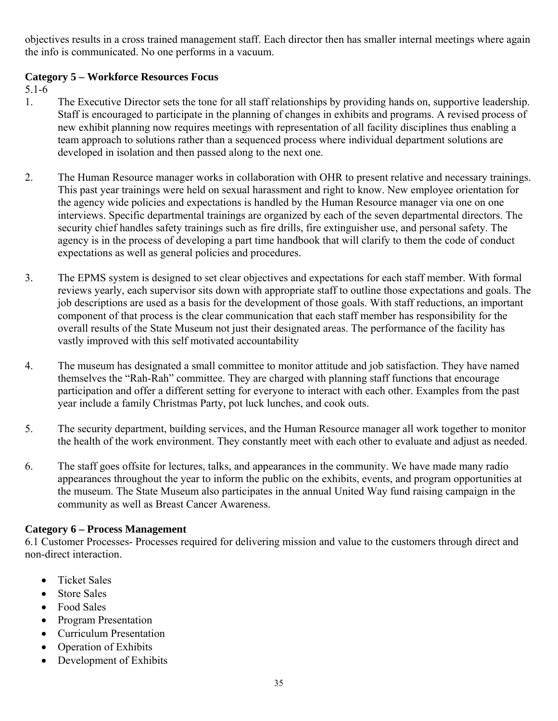objectives results in a cross trained management staff. Each director then has smaller internal meetings where again the info is communicated. No one performs in a vacuum.

## **Category 5 – Workforce Resources Focus**

5.1-6

- 1. The Executive Director sets the tone for all staff relationships by providing hands on, supportive leadership. Staff is encouraged to participate in the planning of changes in exhibits and programs. A revised process of new exhibit planning now requires meetings with representation of all facility disciplines thus enabling a team approach to solutions rather than a sequenced process where individual department solutions are developed in isolation and then passed along to the next one.
- 2. The Human Resource manager works in collaboration with OHR to present relative and necessary trainings. This past year trainings were held on sexual harassment and right to know. New employee orientation for the agency wide policies and expectations is handled by the Human Resource manager via one on one interviews. Specific departmental trainings are organized by each of the seven departmental directors. The security chief handles safety trainings such as fire drills, fire extinguisher use, and personal safety. The agency is in the process of developing a part time handbook that will clarify to them the code of conduct expectations as well as general policies and procedures.
- 3. The EPMS system is designed to set clear objectives and expectations for each staff member. With formal reviews yearly, each supervisor sits down with appropriate staff to outline those expectations and goals. The job descriptions are used as a basis for the development of those goals. With staff reductions, an important component of that process is the clear communication that each staff member has responsibility for the overall results of the State Museum not just their designated areas. The performance of the facility has vastly improved with this self motivated accountability
- 4. The museum has designated a small committee to monitor attitude and job satisfaction. They have named themselves the "Rah-Rah" committee. They are charged with planning staff functions that encourage participation and offer a different setting for everyone to interact with each other. Examples from the past year include a family Christmas Party, pot luck lunches, and cook outs.
- 5. The security department, building services, and the Human Resource manager all work together to monitor the health of the work environment. They constantly meet with each other to evaluate and adjust as needed.
- 6. The staff goes offsite for lectures, talks, and appearances in the community. We have made many radio appearances throughout the year to inform the public on the exhibits, events, and program opportunities at the museum. The State Museum also participates in the annual United Way fund raising campaign in the community as well as Breast Cancer Awareness.

## **Category 6 – Process Management**

6.1 Customer Processes- Processes required for delivering mission and value to the customers through direct and non-direct interaction.

- Ticket Sales
- Store Sales
- Food Sales
- Program Presentation
- Curriculum Presentation
- Operation of Exhibits
- Development of Exhibits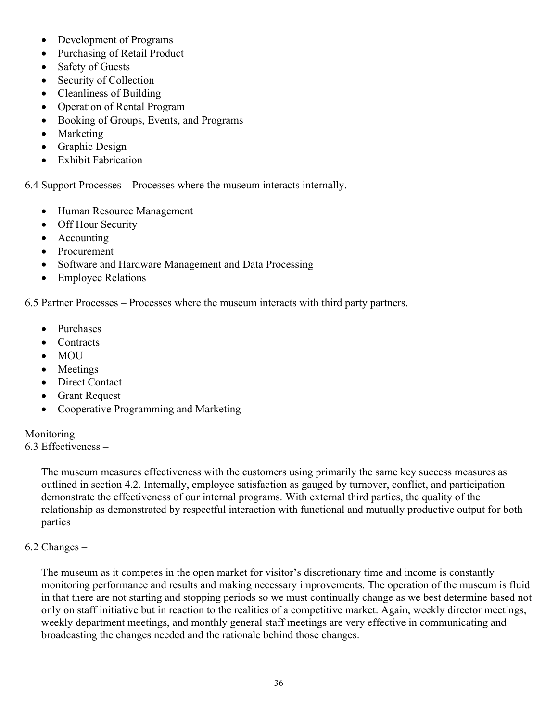- Development of Programs
- Purchasing of Retail Product
- Safety of Guests
- Security of Collection
- Cleanliness of Building
- Operation of Rental Program
- Booking of Groups, Events, and Programs
- Marketing
- Graphic Design
- Exhibit Fabrication

6.4 Support Processes – Processes where the museum interacts internally.

- Human Resource Management
- Off Hour Security
- Accounting
- Procurement
- Software and Hardware Management and Data Processing
- Employee Relations

6.5 Partner Processes – Processes where the museum interacts with third party partners.

- Purchases
- Contracts
- MOU
- Meetings
- Direct Contact
- Grant Request
- Cooperative Programming and Marketing

#### Monitoring –

6.3 Effectiveness –

The museum measures effectiveness with the customers using primarily the same key success measures as outlined in section 4.2. Internally, employee satisfaction as gauged by turnover, conflict, and participation demonstrate the effectiveness of our internal programs. With external third parties, the quality of the relationship as demonstrated by respectful interaction with functional and mutually productive output for both parties

#### 6.2 Changes –

The museum as it competes in the open market for visitor's discretionary time and income is constantly monitoring performance and results and making necessary improvements. The operation of the museum is fluid in that there are not starting and stopping periods so we must continually change as we best determine based not only on staff initiative but in reaction to the realities of a competitive market. Again, weekly director meetings, weekly department meetings, and monthly general staff meetings are very effective in communicating and broadcasting the changes needed and the rationale behind those changes.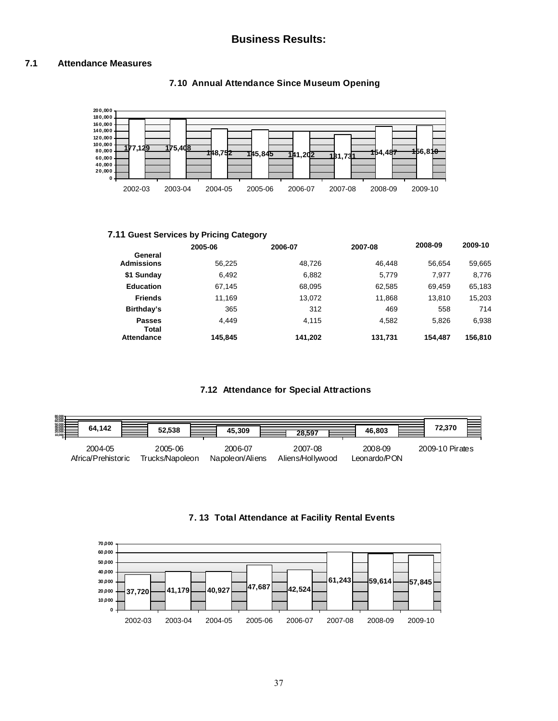#### **7.1 Attendance Measures**



#### **7.10 Annual Attendance Since Museum Opening**

#### **7.11 Guest Services by Pricing Category**

|                              | 2005-06 | 2006-07 | 2007-08 | 2008-09 | 2009-10 |
|------------------------------|---------|---------|---------|---------|---------|
| General<br><b>Admissions</b> | 56,225  | 48.726  | 46.448  | 56.654  | 59,665  |
| \$1 Sunday                   | 6,492   | 6.882   | 5.779   | 7.977   | 8,776   |
| <b>Education</b>             | 67.145  | 68,095  | 62,585  | 69,459  | 65,183  |
| <b>Friends</b>               | 11.169  | 13.072  | 11.868  | 13.810  | 15,203  |
| Birthday's                   | 365     | 312     | 469     | 558     | 714     |
| <b>Passes</b><br>Total       | 4.449   | 4.115   | 4.582   | 5.826   | 6,938   |
| <b>Attendance</b>            | 145.845 | 141,202 | 131,731 | 154.487 | 156,810 |

#### **7.12 Attendance for Special Attractions**

| 80,000<br>60,000<br>50,000<br>50,000<br>30,000<br>20,000<br>10,000<br>64.142 | 52,538                     | 45,309                      | 28.597                     | 46.803                  | 72.370          |
|------------------------------------------------------------------------------|----------------------------|-----------------------------|----------------------------|-------------------------|-----------------|
| 2004-05<br>Africa/Prehistoric                                                | 2005-06<br>Trucks/Napoleon | 2006-07<br>Napole on/Aliens | 2007-08<br>Aliens/Hollwood | 2008-09<br>Leonardo/PON | 2009-10 Pirates |



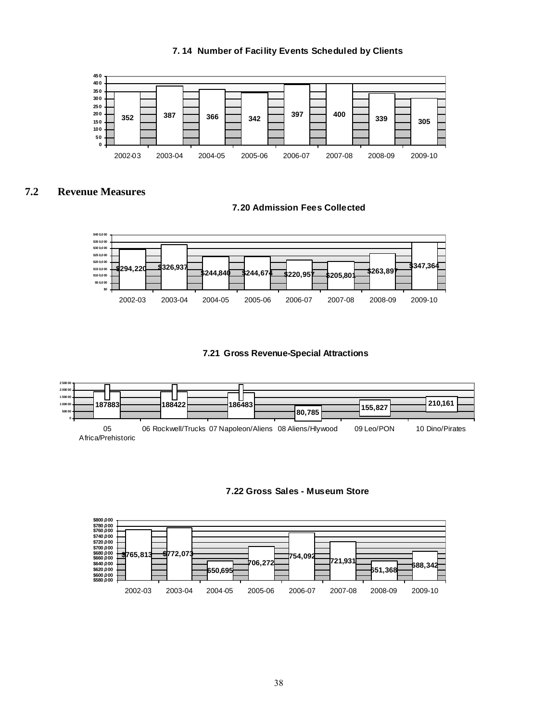#### **7. 14 Number of Facility Events Scheduled by Clients**



#### **7.2 Revenue Measures**

**7.20 Admission Fees Collected** 



#### **7.21 Gross Revenue-Special Attractions**





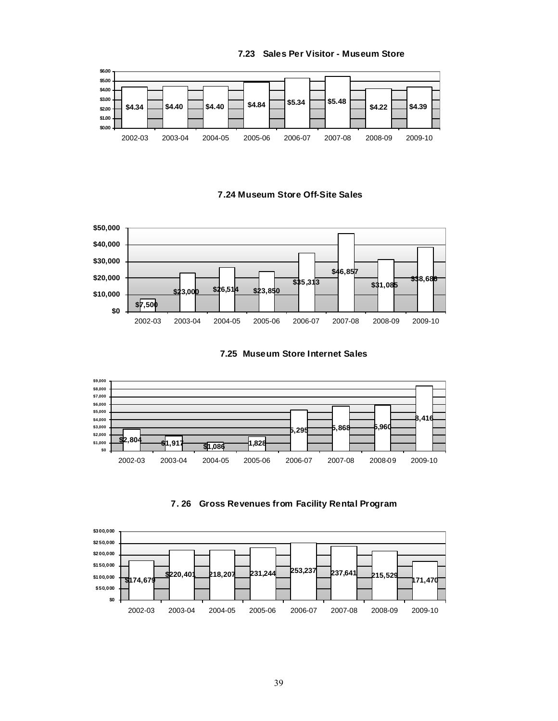













#### **7.23 Sales Per Visitor - Museum Store**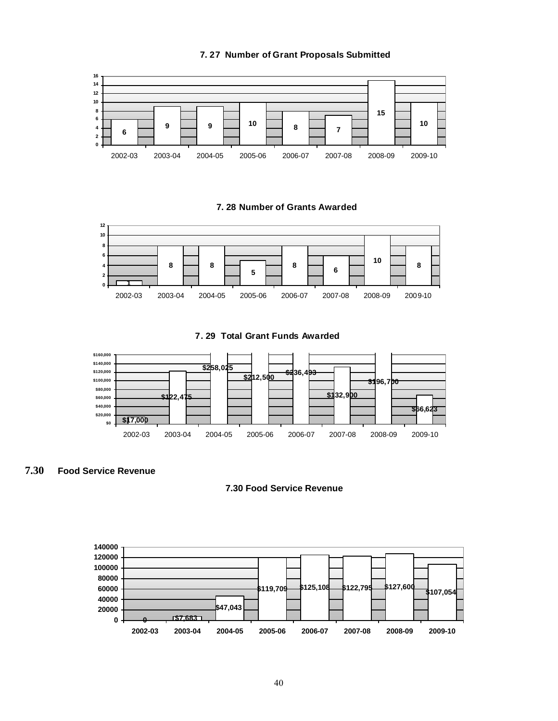

#### **7. 27 Number of Grant Proposals Submitted**





**7. 29 Total Grant Funds Awarded**



#### **7.30 Food Service Revenue**

#### **7.30 Food Service Revenue**

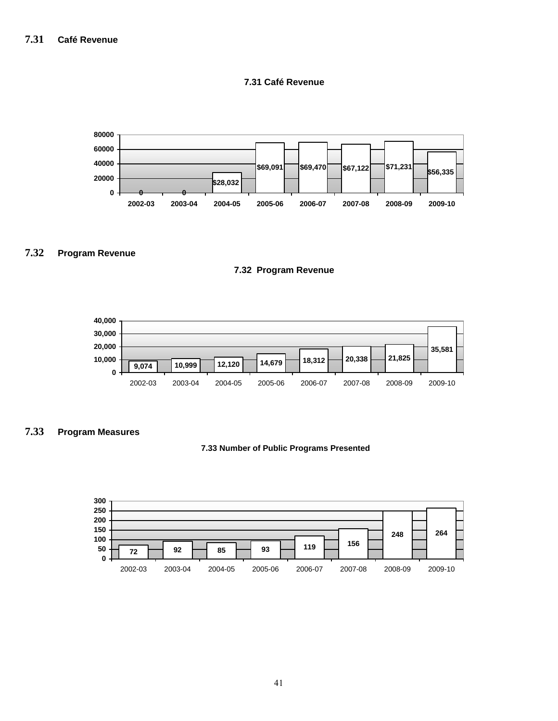#### **7.31 Café Revenue**



#### **7.32 Program Revenue**





#### **7.33 Program Measures**

#### **7.33 Number of Public Programs Presented**

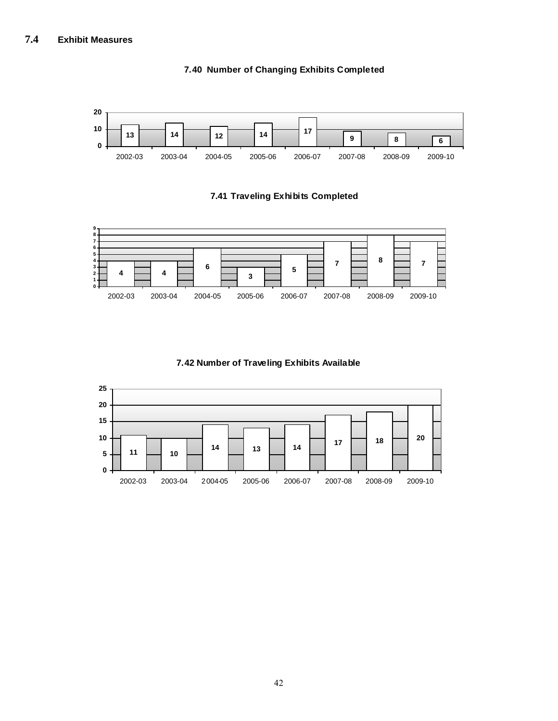

#### **7.40 Number of Changing Exhibits Completed**

#### **7.41 Traveling Exhibits Completed**



#### **7.42 Number of Traveling Exhibits Available**

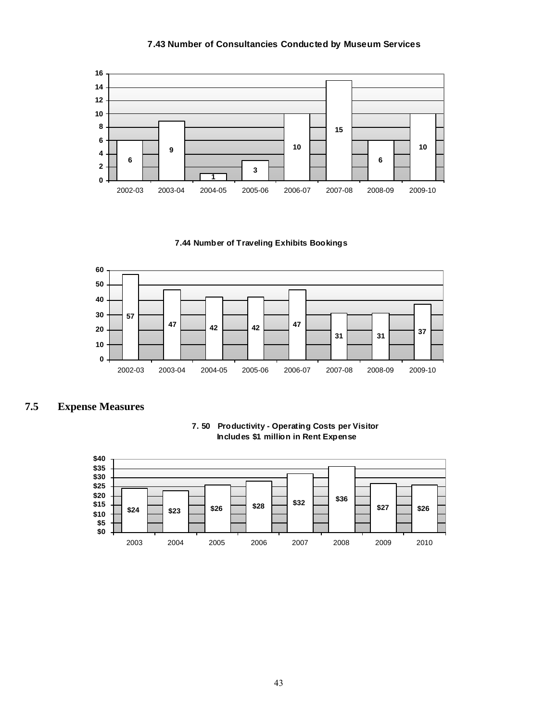#### **7.43 Number of Consultancies Conducted by Museum Services**



**7.44 Number of Traveling Exhibits Bookings** 



#### **7.5 Expense Measures**



#### **7. 50 Productivity - Operating Costs per Visitor Includes \$1 million in Rent Expense**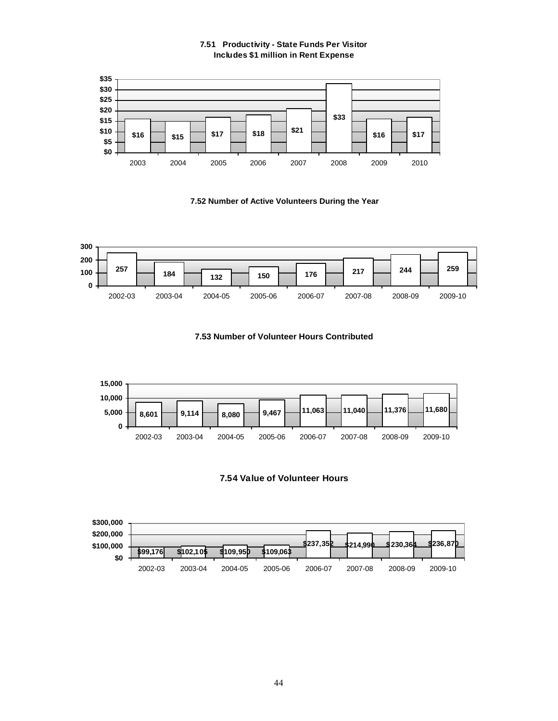#### **7.51 Productivity - State Funds Per Visitor Includes \$1 million in Rent Expense**







#### **7.53 Number of Volunteer Hours Contributed**





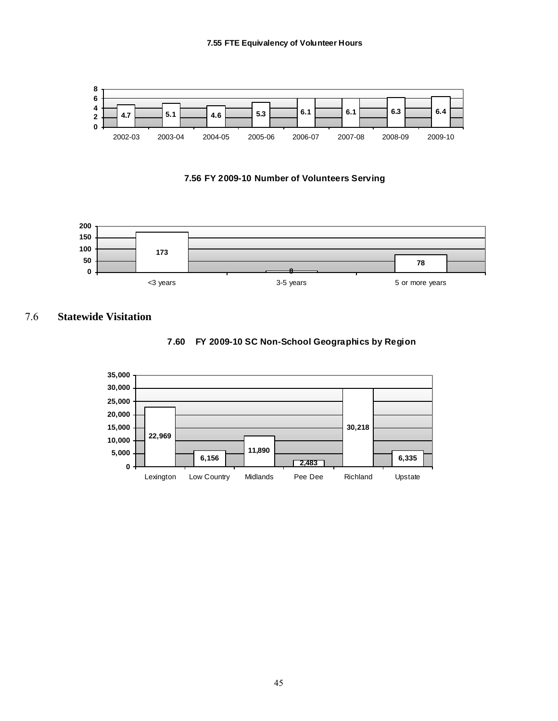





#### 7.6 **Statewide Visitation**



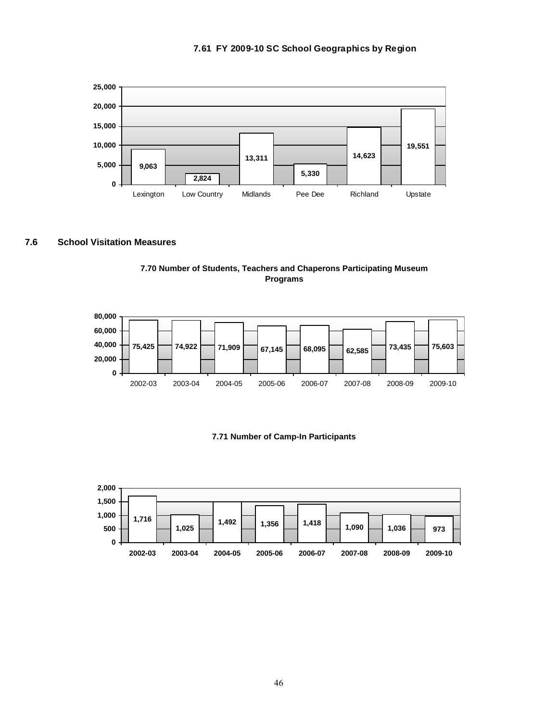



#### **7.6 School Visitation Measures**





#### **7.71 Number of Camp-In Participants**

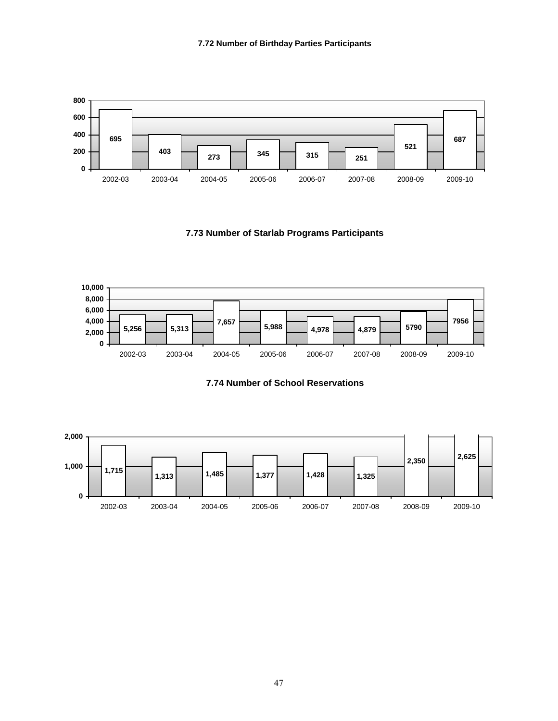

**7.73 Number of Starlab Programs Participants**



**7.74 Number of School Reservations**